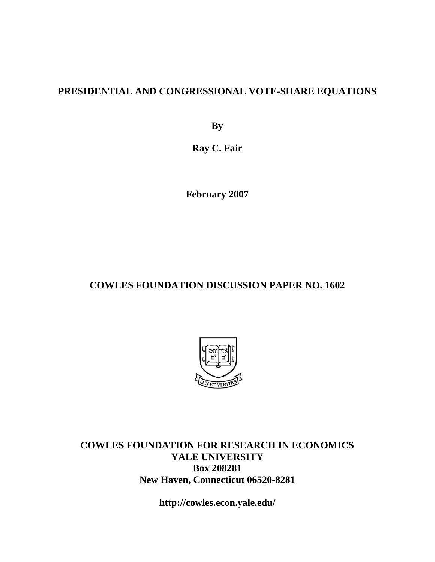### **PRESIDENTIAL AND CONGRESSIONAL VOTE-SHARE EQUATIONS**

**By** 

**Ray C. Fair** 

**February 2007** 

### **COWLES FOUNDATION DISCUSSION PAPER NO. 1602**



**COWLES FOUNDATION FOR RESEARCH IN ECONOMICS YALE UNIVERSITY Box 208281 New Haven, Connecticut 06520-8281** 

**http://cowles.econ.yale.edu/**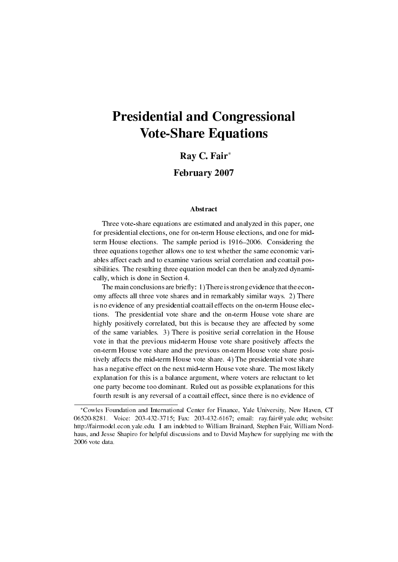# Presidential and Congressional Vote-Share Equations

#### Ray C. Fair*<sup>∗</sup>*

#### February 2007

#### Abstract

Three vote-share equations are estimated and analyzed in this paper, one for presidential elections, one for on-term House elections, and one for midterm House elections. The sample period is 1916–2006. Considering the three equations together allows one to test whether the same economic variables affect each and to examine various serial correlation and coattail possibilities. The resulting three equation model can then be analyzed dynamically, which is done in Section 4.

The main conclusions are briefly: 1) There is strong evidence that the economy affects all three vote shares and in remarkably similar ways. 2) There is no evidence of any presidential coattail effects on the on-term House elections. The presidential vote share and the on-term House vote share are highly positively correlated, but this is because they are affected by some of the same variables. 3) There is positive serial correlation in the House vote in that the previous mid-term House vote share positively affects the on-term House vote share and the previous on-term House vote share positively affects the mid-term House vote share. 4) The presidential vote share has a negative effect on the next mid-term House vote share. The most likely explanation for this is a balance argument, where voters are reluctant to let one party become too dominant. Ruled out as possible explanations for this fourth result is any reversal of a coattail effect, since there is no evidence of

*<sup>∗</sup>*Cowles Foundation and International Center for Finance, Yale University, New Haven, CT 06520-8281. Voice: 203-432-3715; Fax: 203-432-6167; email: ray.fair@yale.edu; website: http://fairmodel.econ.yale.edu. I am indebted to William Brainard, Stephen Fair, William Nordhaus, and Jesse Shapiro for helpful discussions and to David Mayhew for supplying me with the 2006 vote data.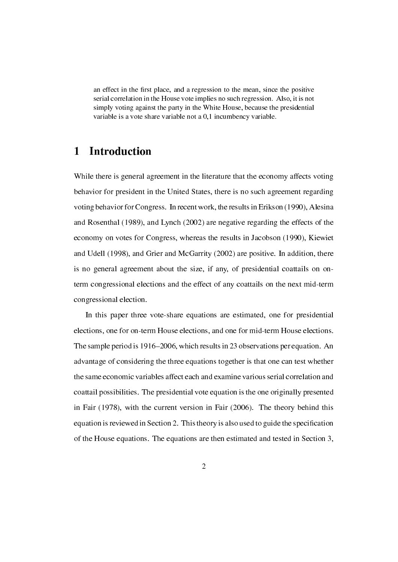an effect in the first place, and a regression to the mean, since the positive serial correlation in the House vote implies no such regression. Also, it is not simply voting against the party in the White House, because the presidential variable is a vote share variable not a 0,1 incumbency variable.

### 1 Introduction

While there is general agreement in the literature that the economy affects voting behavior for president in the United States, there is no such agreement regarding voting behavior for Congress. In recent work, the results in Erikson (1990), Alesina and Rosenthal (1989), and Lynch (2002) are negative regarding the effects of the economy on votes for Congress, whereas the results in Jacobson (1990), Kiewiet and Udell (1998), and Grier and McGarrity (2002) are positive. In addition, there is no general agreement about the size, if any, of presidential coattails on onterm congressional elections and the effect of any coattails on the next mid-term congressional election.

In this paper three vote-share equations are estimated, one for presidential elections, one for on-term House elections, and one for mid-term House elections. The sample period is 1916–2006, which results in 23 observations per equation. An advantage of considering the three equations together is that one can test whether the same economic variables affect each and examine various serial correlation and coattail possibilities. The presidential vote equation is the one originally presented in Fair (1978), with the current version in Fair (2006). The theory behind this equation is reviewed in Section 2. This theory is also used to guide the specification of the House equations. The equations are then estimated and tested in Section 3,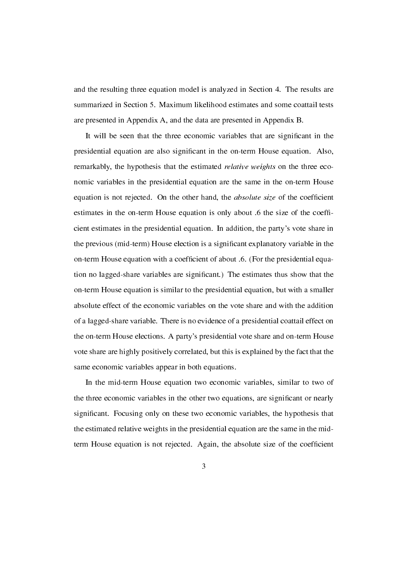and the resulting three equation model is analyzed in Section 4. The results are summarized in Section 5. Maximum likelihood estimates and some coattail tests are presented in Appendix A, and the data are presented in Appendix B.

It will be seen that the three economic variables that are signicant in the presidential equation are also signicant in the on-term House equation. Also, remarkably, the hypothesis that the estimated *relative weights* on the three economic variables in the presidential equation are the same in the on-term House equation is not rejected. On the other hand, the *absolute size* of the coefficient estimates in the on-term House equation is only about .6 the size of the coefficient estimates in the presidential equation. In addition, the party's vote share in the previous (mid-term) House election is a signicant explanatory variable in the on-term House equation with a coefficient of about .6. (For the presidential equation no lagged-share variables are signicant.) The estimates thus show that the on-term House equation is similar to the presidential equation, but with a smaller absolute effect of the economic variables on the vote share and with the addition of a lagged-share variable. There is no evidence of a presidential coattail effect on the on-term House elections. A party's presidential vote share and on-term House vote share are highly positively correlated, but this is explained by the fact that the same economic variables appear in both equations.

In the mid-term House equation two economic variables, similar to two of the three economic variables in the other two equations, are signicant or nearly signicant. Focusing only on these two economic variables, the hypothesis that the estimated relative weights in the presidential equation are the same in the midterm House equation is not rejected. Again, the absolute size of the coefficient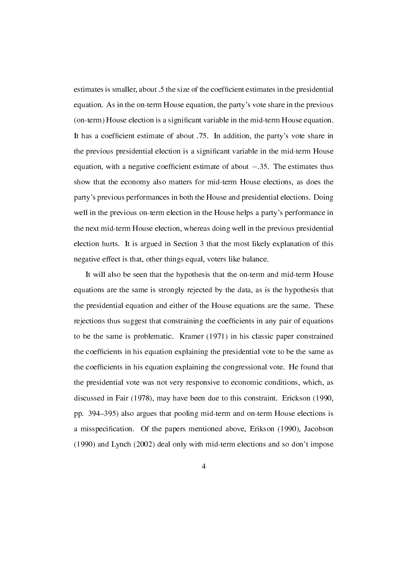estimates is smaller, about .5 the size of the coefficient estimates in the presidential equation. As in the on-term House equation, the party's vote share in the previous (on-term) House election is a signicant variable in the mid-term House equation. It has a coefficient estimate of about .75. In addition, the party's vote share in the previous presidential election is a signicant variable in the mid-term House equation, with a negative coefcient estimate of about *−*.35. The estimates thus show that the economy also matters for mid-term House elections, as does the party's previous performances in both the House and presidential elections. Doing well in the previous on-term election in the House helps a party's performance in the next mid-term House election, whereas doing well in the previous presidential election hurts. It is argued in Section 3 that the most likely explanation of this negative effect is that, other things equal, voters like balance.

It will also be seen that the hypothesis that the on-term and mid-term House equations are the same is strongly rejected by the data, as is the hypothesis that the presidential equation and either of the House equations are the same. These rejections thus suggest that constraining the coefficients in any pair of equations to be the same is problematic. Kramer (1971) in his classic paper constrained the coefficients in his equation explaining the presidential vote to be the same as the coefcients in his equation explaining the congressional vote. He found that the presidential vote was not very responsive to economic conditions, which, as discussed in Fair (1978), may have been due to this constraint. Erickson (1990, pp. 394395) also argues that pooling mid-term and on-term House elections is a misspecication. Of the papers mentioned above, Erikson (1990), Jacobson (1990) and Lynch (2002) deal only with mid-term elections and so don't impose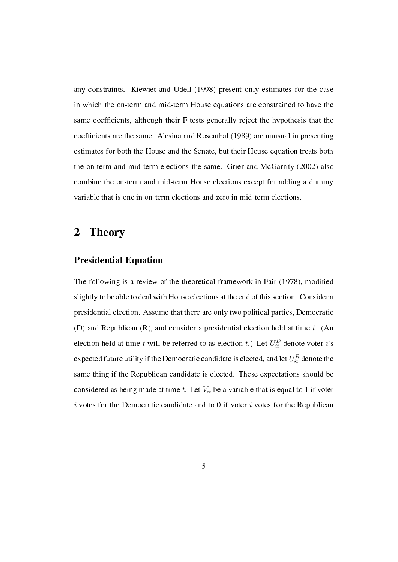any constraints. Kiewiet and Udell (1998) present only estimates for the case in which the on-term and mid-term House equations are constrained to have the same coefficients, although their F tests generally reject the hypothesis that the coefficients are the same. Alesina and Rosenthal (1989) are unusual in presenting estimates for both the House and the Senate, but their House equation treats both the on-term and mid-term elections the same. Grier and McGarrity (2002) also combine the on-term and mid-term House elections except for adding a dummy variable that is one in on-term elections and zero in mid-term elections.

### 2 Theory

#### Presidential Equation

The following is a review of the theoretical framework in Fair (1978), modified slightly to be able to deal with House elections at the end of this section. Consider a presidential election. Assume that there are only two political parties, Democratic (D) and Republican (R), and consider a presidential election held at time *t*. (An election held at time *t* will be referred to as election *t*.) Let  $U_{it}^D$  denote voter *i*'s expected future utility if the Democratic candidate is elected, and let  $U_{it}^R$  denote the same thing if the Republican candidate is elected. These expectations should be considered as being made at time *t*. Let *Vit* be a variable that is equal to 1 if voter *i* votes for the Democratic candidate and to 0 if voter *i* votes for the Republican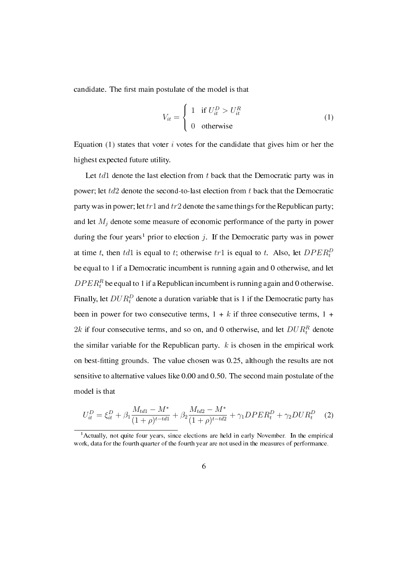candidate. The first main postulate of the model is that

$$
V_{it} = \begin{cases} 1 & \text{if } U_{it}^{D} > U_{it}^{R} \\ 0 & \text{otherwise} \end{cases}
$$
 (1)

Equation (1) states that voter *i* votes for the candidate that gives him or her the highest expected future utility.

Let *td*1 denote the last election from *t* back that the Democratic party was in power; let *td*2 denote the second-to-last election from *t* back that the Democratic party was in power; let*tr*1 and *tr*2 denote the same things for the Republican party; and let *M<sup>j</sup>* denote some measure of economic performance of the party in power during the four years<sup>1</sup> prior to election *j*. If the Democratic party was in power at time *t*, then *td*1 is equal to *t*; otherwise  $tr1$  is equal to *t*. Also, let  $DPER_t^D$ be equal to 1 if a Democratic incumbent is running again and 0 otherwise, and let  $DPER<sub>t</sub><sup>R</sup>$  be equal to 1 if a Republican incumbent is running again and 0 otherwise. Finally, let  $DUR_t^D$  denote a duration variable that is 1 if the Democratic party has been in power for two consecutive terms,  $1 + k$  if three consecutive terms,  $1 +$ 2*k* if four consecutive terms, and so on, and 0 otherwise, and let  $DUR_t^R$  denote the similar variable for the Republican party. *k* is chosen in the empirical work on best-fitting grounds. The value chosen was 0.25, although the results are not sensitive to alternative values like 0.00 and 0.50. The second main postulate of the model is that

$$
U_{it}^{D} = \xi_{it}^{D} + \beta_1 \frac{M_{td1} - M^*}{(1 + \rho)^{t - td1}} + \beta_2 \frac{M_{td2} - M^*}{(1 + \rho)^{t - td2}} + \gamma_1 DPER_t^D + \gamma_2 DUR_t^D \tag{2}
$$

<sup>&</sup>lt;sup>1</sup> Actually, not quite four years, since elections are held in early November. In the empirical work, data for the fourth quarter of the fourth year are not used in the measures of performance.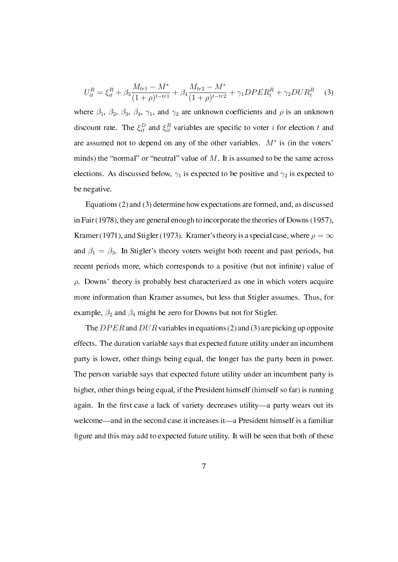$$
U_{it}^{R} = \xi_{it}^{R} + \beta_3 \frac{M_{tr1} - M^*}{(1 + \rho)^{t - tr1}} + \beta_4 \frac{M_{tr2} - M^*}{(1 + \rho)^{t - tr2}} + \gamma_1 DPER_t^R + \gamma_2 DUR_t^R \tag{3}
$$

where  $\beta_1$ ,  $\beta_2$ ,  $\beta_3$ ,  $\beta_4$ ,  $\gamma_1$ , and  $\gamma_2$  are unknown coefficients and  $\rho$  is an unknown discount rate. The  $\xi_{it}^D$  and  $\xi_{it}^R$  variables are specific to voter *i* for election *t* and are assumed not to depend on any of the other variables. *M<sup>∗</sup>* is (in the voters' minds) the "normal" or "neutral" value of  $M$ . It is assumed to be the same across elections. As discussed below,  $\gamma_1$  is expected to be positive and  $\gamma_2$  is expected to be negative.

Equations (2) and (3) determine how expectations are formed, and, as discussed in Fair (1978), they are general enough to incorporate the theories of Downs (1957), Kramer (1971), and Stigler (1973). Kramer's theory is a special case, where  $\rho = \infty$ and  $\beta_1 = \beta_3$ . In Stigler's theory voters weight both recent and past periods, but recent periods more, which corresponds to a positive (but not infinite) value of *ρ*. Downs' theory is probably best characterized as one in which voters acquire more information than Kramer assumes, but less that Stigler assumes. Thus, for example,  $\beta_2$  and  $\beta_4$  might be zero for Downs but not for Stigler.

The *DP ER* and *DUR* variables in equations (2) and (3) are picking up opposite effects. The duration variable says that expected future utility under an incumbent party is lower, other things being equal, the longer has the party been in power. The person variable says that expected future utility under an incumbent party is higher, other things being equal, if the President himself (himself so far) is running again. In the first case a lack of variety decreases utility—a party wears out its welcome—and in the second case it increases it—a President himself is a familiar figure and this may add to expected future utility. It will be seen that both of these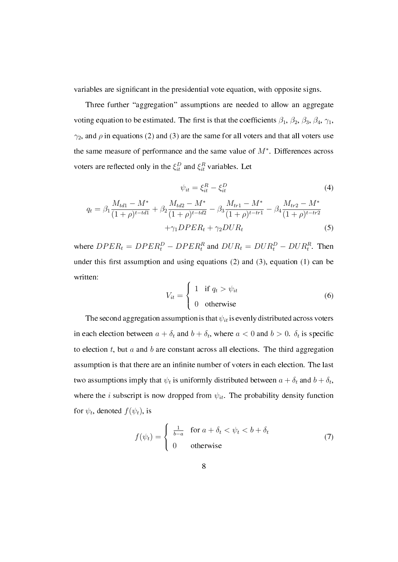variables are signicant in the presidential vote equation, with opposite signs.

Three further "aggregation" assumptions are needed to allow an aggregate voting equation to be estimated. The first is that the coefficients  $\beta_1$ ,  $\beta_2$ ,  $\beta_3$ ,  $\beta_4$ ,  $\gamma_1$ ,  $\gamma_2$ , and  $\rho$  in equations (2) and (3) are the same for all voters and that all voters use the same measure of performance and the same value of *M<sup>∗</sup>* . Differences across voters are reflected only in the  $\xi_{it}^D$  and  $\xi_{it}^R$  variables. Let

$$
\psi_{it} = \xi_{it}^{R} - \xi_{it}^{D}
$$
(4)  

$$
q_{t} = \beta_{1} \frac{M_{td1} - M^{*}}{(1 + \rho)^{t - td1}} + \beta_{2} \frac{M_{td2} - M^{*}}{(1 + \rho)^{t - td2}} - \beta_{3} \frac{M_{tr1} - M^{*}}{(1 + \rho)^{t - tr1}} - \beta_{4} \frac{M_{tr2} - M^{*}}{(1 + \rho)^{t - tr2}} + \gamma_{1} DPER_{t} + \gamma_{2} DUR_{t}
$$
(5)

where  $DPER_t = DPER_t^D - DPER_t^R$  and  $DUR_t = DUR_t^D - DUR_t^R$ . Then under this first assumption and using equations  $(2)$  and  $(3)$ , equation  $(1)$  can be written:

$$
V_{it} = \begin{cases} 1 & \text{if } q_t > \psi_{it} \\ 0 & \text{otherwise} \end{cases}
$$
 (6)

The second aggregation assumption is that  $\psi_{it}$  is evenly distributed across voters in each election between  $a + \delta_t$  and  $b + \delta_t$ , where  $a < 0$  and  $b > 0$ .  $\delta_t$  is specific to election *t*, but *a* and *b* are constant across all elections. The third aggregation assumption is that there are an infinite number of voters in each election. The last two assumptions imply that  $\psi_t$  is uniformly distributed between  $a + \delta_t$  and  $b + \delta_t$ , where the *i* subscript is now dropped from  $\psi_{it}$ . The probability density function for  $\psi_t$ , denoted  $f(\psi_t)$ , is

$$
f(\psi_t) = \begin{cases} \frac{1}{b-a} & \text{for } a + \delta_t < \psi_t < b + \delta_t \\ 0 & \text{otherwise} \end{cases}
$$
 (7)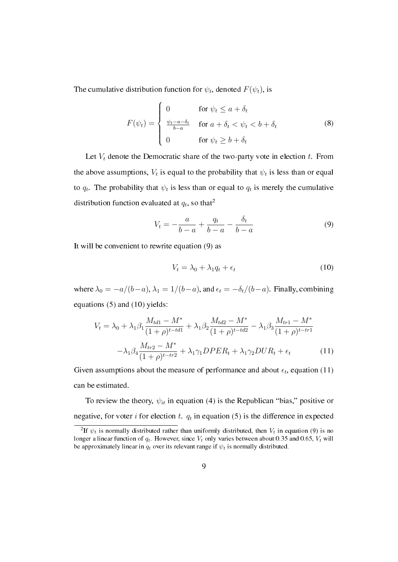The cumulative distribution function for  $\psi_t$ , denoted  $F(\psi_t)$ , is

$$
F(\psi_t) = \begin{cases} 0 & \text{for } \psi_t \le a + \delta_t \\ \frac{\psi_t - a - \delta_t}{b - a} & \text{for } a + \delta_t < \psi_t < b + \delta_t \\ 0 & \text{for } \psi_t \ge b + \delta_t \end{cases} \tag{8}
$$

Let  $V_t$  denote the Democratic share of the two-party vote in election  $t$ . From the above assumptions,  $V_t$  is equal to the probability that  $\psi_t$  is less than or equal to  $q_t$ . The probability that  $\psi_t$  is less than or equal to  $q_t$  is merely the cumulative distribution function evaluated at  $q_t$ , so that<sup>2</sup>

$$
V_t = -\frac{a}{b-a} + \frac{q_t}{b-a} - \frac{\delta_t}{b-a} \tag{9}
$$

It will be convenient to rewrite equation (9) as

$$
V_t = \lambda_0 + \lambda_1 q_t + \epsilon_t \tag{10}
$$

where  $\lambda_0 = -a/(b-a)$ ,  $\lambda_1 = 1/(b-a)$ , and  $\epsilon_t = -\delta_t/(b-a)$ . Finally, combining equations (5) and (10) yields:

$$
V_t = \lambda_0 + \lambda_1 \beta_1 \frac{M_{td1} - M^*}{(1 + \rho)^{t - td1}} + \lambda_1 \beta_2 \frac{M_{td2} - M^*}{(1 + \rho)^{t - td2}} - \lambda_1 \beta_3 \frac{M_{tr1} - M^*}{(1 + \rho)^{t - tr1}} -\lambda_1 \beta_4 \frac{M_{tr2} - M^*}{(1 + \rho)^{t - tr2}} + \lambda_1 \gamma_1 DPER_t + \lambda_1 \gamma_2 DUR_t + \epsilon_t
$$
 (11)

Given assumptions about the measure of performance and about  $\epsilon_t$ , equation (11) can be estimated.

To review the theory,  $\psi_{it}$  in equation (4) is the Republican "bias," positive or negative, for voter  $i$  for election  $t$ .  $q_t$  in equation (5) is the difference in expected

<sup>&</sup>lt;sup>2</sup>If  $\psi_t$  is normally distributed rather than uniformly distributed, then  $V_t$  in equation (9) is no longer a linear function of *qt*. However, since *V<sup>t</sup>* only varies between about 0.35 and 0.65, *V<sup>t</sup>* will be approximately linear in  $q_t$  over its relevant range if  $\psi_t$  is normally distributed.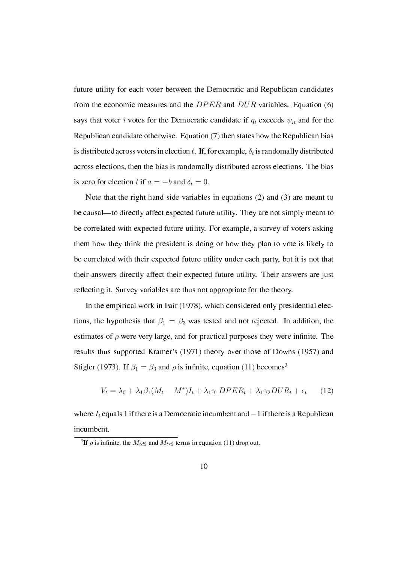future utility for each voter between the Democratic and Republican candidates from the economic measures and the *DP ER* and *DUR* variables. Equation (6) says that voter *i* votes for the Democratic candidate if  $q_t$  exceeds  $\psi_{it}$  and for the Republican candidate otherwise. Equation (7) then states how the Republican bias is distributed across voters in election  $t$ . If, for example,  $\delta_t$  is randomally distributed across elections, then the bias is randomally distributed across elections. The bias is zero for election *t* if  $a = -b$  and  $\delta_t = 0$ .

Note that the right hand side variables in equations (2) and (3) are meant to be causal—to directly affect expected future utility. They are not simply meant to be correlated with expected future utility. For example, a survey of voters asking them how they think the president is doing or how they plan to vote is likely to be correlated with their expected future utility under each party, but it is not that their answers directly affect their expected future utility. Their answers are just reflecting it. Survey variables are thus not appropriate for the theory.

In the empirical work in Fair (1978), which considered only presidential elections, the hypothesis that  $\beta_1 = \beta_3$  was tested and not rejected. In addition, the estimates of  $\rho$  were very large, and for practical purposes they were infinite. The results thus supported Kramer's (1971) theory over those of Downs (1957) and Stigler (1973). If  $\beta_1 = \beta_3$  and  $\rho$  is infinite, equation (11) becomes<sup>3</sup>

$$
V_t = \lambda_0 + \lambda_1 \beta_1 (M_t - M^*) I_t + \lambda_1 \gamma_1 DPE R_t + \lambda_1 \gamma_2 D U R_t + \epsilon_t \tag{12}
$$

where *I<sup>t</sup>* equals 1 if there is a Democratic incumbent and *−*1 if there is a Republican incumbent.

<sup>&</sup>lt;sup>3</sup>If  $\rho$  is infinite, the  $M_{td2}$  and  $M_{tr2}$  terms in equation (11) drop out.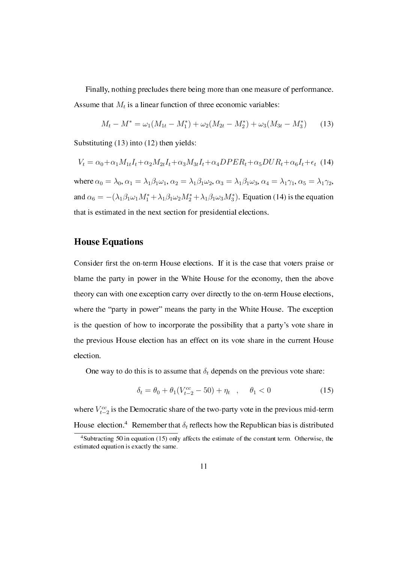Finally, nothing precludes there being more than one measure of performance. Assume that  $M_t$  is a linear function of three economic variables:

$$
M_t - M^* = \omega_1 (M_{1t} - M_1^*) + \omega_2 (M_{2t} - M_2^*) + \omega_3 (M_{3t} - M_3^*)
$$
 (13)

Substituting (13) into (12) then yields:

$$
V_t = \alpha_0 + \alpha_1 M_{1t} I_t + \alpha_2 M_{2t} I_t + \alpha_3 M_{3t} I_t + \alpha_4 DPER_t + \alpha_5 DUR_t + \alpha_6 I_t + \epsilon_t
$$
 (14)

where  $\alpha_0 = \lambda_0$ ,  $\alpha_1 = \lambda_1 \beta_1 \omega_1$ ,  $\alpha_2 = \lambda_1 \beta_1 \omega_2$ ,  $\alpha_3 = \lambda_1 \beta_1 \omega_3$ ,  $\alpha_4 = \lambda_1 \gamma_1$ ,  $\alpha_5 = \lambda_1 \gamma_2$ , and  $\alpha_6 = -(\lambda_1\beta_1\omega_1M_1^* + \lambda_1\beta_1\omega_2M_2^* + \lambda_1\beta_1\omega_3M_3^*$ . Equation (14) is the equation that is estimated in the next section for presidential elections.

#### House Equations

Consider first the on-term House elections. If it is the case that voters praise or blame the party in power in the White House for the economy, then the above theory can with one exception carry over directly to the on-term House elections, where the "party in power" means the party in the White House. The exception is the question of how to incorporate the possibility that a party's vote share in the previous House election has an effect on its vote share in the current House election.

One way to do this is to assume that  $\delta_t$  depends on the previous vote share:

$$
\delta_t = \theta_0 + \theta_1 (V_{t-2}^{cc} - 50) + \eta_t \quad , \quad \theta_1 < 0 \tag{15}
$$

where  $V_{t-2}^{cc}$  is the Democratic share of the two-party vote in the previous mid-term House election.<sup>4</sup> Remember that  $\delta_t$  reflects how the Republican bias is distributed

<sup>&</sup>lt;sup>4</sup>Subtracting 50 in equation (15) only affects the estimate of the constant term. Otherwise, the estimated equation is exactly the same.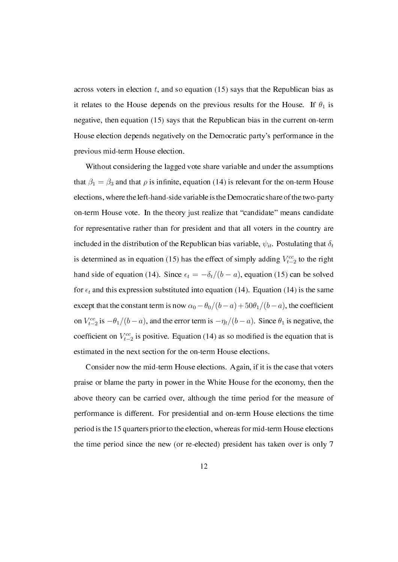across voters in election *t*, and so equation (15) says that the Republican bias as it relates to the House depends on the previous results for the House. If  $\theta_1$  is negative, then equation (15) says that the Republican bias in the current on-term House election depends negatively on the Democratic party's performance in the previous mid-term House election.

Without considering the lagged vote share variable and under the assumptions that  $\beta_1 = \beta_3$  and that  $\rho$  is infinite, equation (14) is relevant for the on-term House elections, where the left-hand-side variable is the Democratic share of the two-party on-term House vote. In the theory just realize that "candidate" means candidate for representative rather than for president and that all voters in the country are included in the distribution of the Republican bias variable,  $\psi_{it}$ . Postulating that  $\delta_t$ is determined as in equation (15) has the effect of simply adding  $V_{t-2}^{cc}$  to the right hand side of equation (14). Since  $\epsilon_t = -\delta_t/(b-a)$ , equation (15) can be solved for  $\epsilon_t$  and this expression substituted into equation (14). Equation (14) is the same except that the constant term is now  $\alpha_0 - \theta_0/(b-a) + 50\theta_1/(b-a)$ , the coefficient on  $V_{t-2}^{cc}$  is  $-\theta_1/(b-a)$ , and the error term is  $-\eta_t/(b-a)$ . Since  $\theta_1$  is negative, the coefficient on  $V_{t-2}^{cc}$  is positive. Equation (14) as so modified is the equation that is estimated in the next section for the on-term House elections.

Consider now the mid-term House elections. Again, if it is the case that voters praise or blame the party in power in the White House for the economy, then the above theory can be carried over, although the time period for the measure of performance is different. For presidential and on-term House elections the time period is the 15 quarters prior to the election, whereas for mid-term House elections the time period since the new (or re-elected) president has taken over is only 7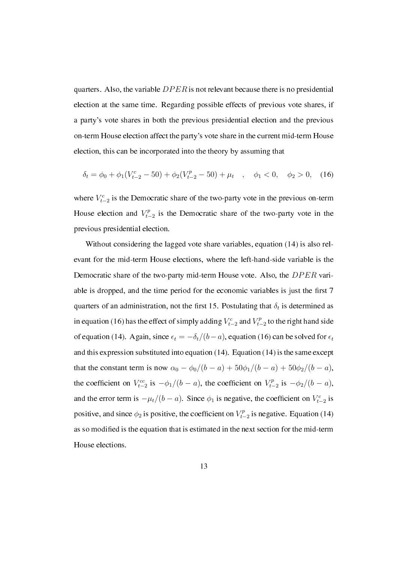quarters. Also, the variable *DP ER* is not relevant because there is no presidential election at the same time. Regarding possible effects of previous vote shares, if a party's vote shares in both the previous presidential election and the previous on-term House election affect the party's vote share in the current mid-term House election, this can be incorporated into the theory by assuming that

$$
\delta_t = \phi_0 + \phi_1 (V_{t-2}^c - 50) + \phi_2 (V_{t-2}^p - 50) + \mu_t \quad , \quad \phi_1 < 0, \quad \phi_2 > 0,\tag{16}
$$

where  $V_{t-2}^c$  is the Democratic share of the two-party vote in the previous on-term House election and  $V_{t-}^p$ *t−*2 is the Democratic share of the two-party vote in the previous presidential election.

Without considering the lagged vote share variables, equation (14) is also relevant for the mid-term House elections, where the left-hand-side variable is the Democratic share of the two-party mid-term House vote. Also, the *DP ER* variable is dropped, and the time period for the economic variables is just the first 7 quarters of an administration, not the first 15. Postulating that  $\delta_t$  is determined as in equation (16) has the effect of simply adding  $V_{t-2}^c$  and  $V_{t-2}^p$ *t−*2 to the right hand side of equation (14). Again, since  $\epsilon_t = -\delta_t/(b-a)$ , equation (16) can be solved for  $\epsilon_t$ and this expression substituted into equation (14). Equation (14) is the same except that the constant term is now  $\alpha_0 - \phi_0/(b - a) + 50\phi_1/(b - a) + 50\phi_2/(b - a)$ , the coefficient on  $V_{t-2}^{cc}$  is  $-\phi_1/(b-a)$ , the coefficient on  $V_{t-2}^{p}$  $t_{t-2}^{p}$  is  $-\phi_2/(b-a)$ , and the error term is  $-\mu_t/(b-a)$ . Since  $\phi_1$  is negative, the coefficient on  $V_{t-2}^c$  is positive, and since  $\phi_2$  is positive, the coefficient on  $V_t^p$ . *t−*2 is negative. Equation (14) as so modied is the equation that is estimated in the next section for the mid-term House elections.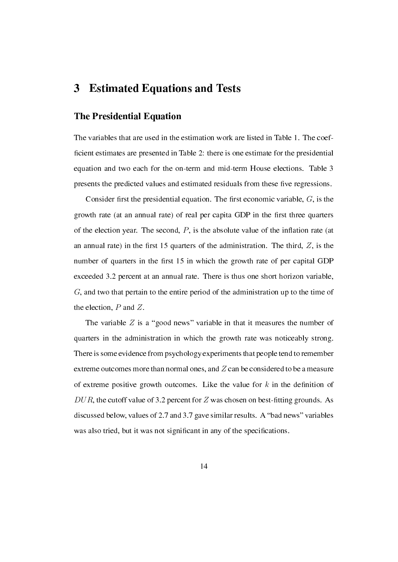### 3 Estimated Equations and Tests

#### The Presidential Equation

The variables that are used in the estimation work are listed in Table 1. The coef ficient estimates are presented in Table 2: there is one estimate for the presidential equation and two each for the on-term and mid-term House elections. Table 3 presents the predicted values and estimated residuals from these five regressions.

Consider first the presidential equation. The first economic variable,  $G$ , is the growth rate (at an annual rate) of real per capita GDP in the first three quarters of the election year. The second,  $P$ , is the absolute value of the inflation rate (at an annual rate) in the first 15 quarters of the administration. The third,  $Z$ , is the number of quarters in the first 15 in which the growth rate of per capital GDP exceeded 3.2 percent at an annual rate. There is thus one short horizon variable, *G*, and two that pertain to the entire period of the administration up to the time of the election, *P* and *Z*.

The variable  $Z$  is a "good news" variable in that it measures the number of quarters in the administration in which the growth rate was noticeably strong. There is some evidence from psychology experiments that people tend to remember extreme outcomes more than normal ones, and *Z* can be considered to be a measure of extreme positive growth outcomes. Like the value for  $k$  in the definition of  $DUR$ , the cutoff value of 3.2 percent for Z was chosen on best-fitting grounds. As discussed below, values of 2.7 and 3.7 gave similar results. A "bad news" variables was also tried, but it was not significant in any of the specifications.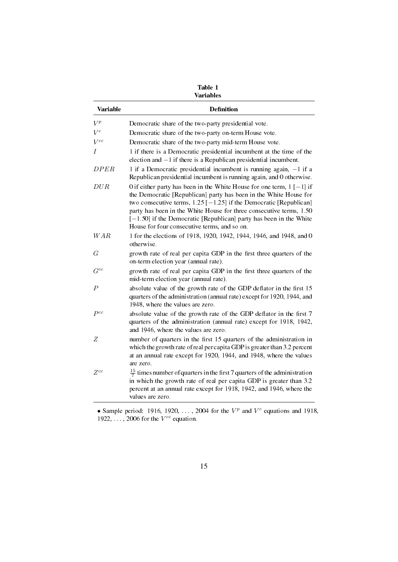| Table 1          |  |
|------------------|--|
| <b>Variables</b> |  |

| Variable   | <b>Definition</b>                                                                                                                                                                                                                                                                                                                                                                                                       |
|------------|-------------------------------------------------------------------------------------------------------------------------------------------------------------------------------------------------------------------------------------------------------------------------------------------------------------------------------------------------------------------------------------------------------------------------|
| $V^p$      | Democratic share of the two-party presidential vote.                                                                                                                                                                                                                                                                                                                                                                    |
| $V^c$      | Democratic share of the two-party on-term House vote.                                                                                                                                                                                                                                                                                                                                                                   |
| $V^{cc}$   | Democratic share of the two-party mid-term House vote.                                                                                                                                                                                                                                                                                                                                                                  |
| $\prime$   | 1 if there is a Democratic presidential incumbent at the time of the<br>election and $-1$ if there is a Republican presidential incumbent.                                                                                                                                                                                                                                                                              |
| DPER       | 1 if a Democratic presidential incumbent is running again, $-1$ if a<br>Republican presidential incumbent is running again, and 0 otherwise.                                                                                                                                                                                                                                                                            |
| DUR        | 0 if either party has been in the White House for one term, $1$ [-1] if<br>the Democratic [Republican] party has been in the White House for<br>two consecutive terms, $1.25$ [ $-1.25$ ] if the Democratic [Republican]<br>party has been in the White House for three consecutive terms, 1.50<br>$[-1.50]$ if the Democratic [Republican] party has been in the White<br>House for four consecutive terms, and so on. |
| <b>WAR</b> | 1 for the elections of 1918, 1920, 1942, 1944, 1946, and 1948, and 0<br>otherwise.                                                                                                                                                                                                                                                                                                                                      |
| G          | growth rate of real per capita GDP in the first three quarters of the<br>on-term election year (annual rate).                                                                                                                                                                                                                                                                                                           |
| $G^{cc}$   | growth rate of real per capita GDP in the first three quarters of the<br>mid-term election year (annual rate).                                                                                                                                                                                                                                                                                                          |
| P          | absolute value of the growth rate of the GDP deflator in the first 15<br>quarters of the administration (annual rate) except for 1920, 1944, and<br>1948, where the values are zero.                                                                                                                                                                                                                                    |
| $P^{cc}$   | absolute value of the growth rate of the GDP deflator in the first 7<br>quarters of the administration (annual rate) except for 1918, 1942,<br>and 1946, where the values are zero.                                                                                                                                                                                                                                     |
| Z          | number of quarters in the first 15 quarters of the administration in<br>which the growth rate of real per capita GDP is greater than 3.2 percent<br>at an annual rate except for 1920, 1944, and 1948, where the values<br>are zero.                                                                                                                                                                                    |
| $Z^{cc}$   | $\frac{15}{7}$ times number of quarters in the first 7 quarters of the administration<br>in which the growth rate of real per capita GDP is greater than 3.2<br>percent at an annual rate except for 1918, 1942, and 1946, where the<br>values are zero.                                                                                                                                                                |

• Sample period: 1916, 1920,  $\dots$ , 2004 for the  $V^p$  and  $V^c$  equations and 1918, 1922, *. . .* , 2006 for the *V cc* equation.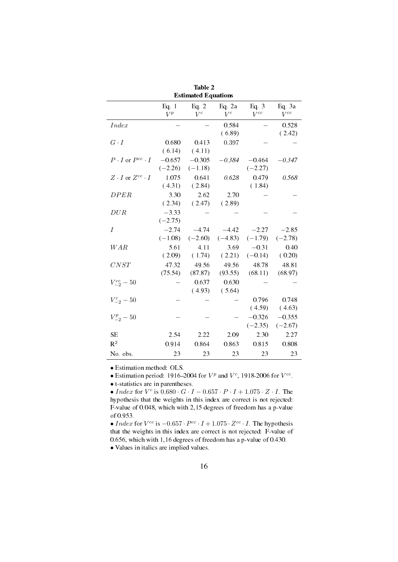| Esumated Equations              |                       |                       |                      |                       |                       |  |  |  |  |  |  |
|---------------------------------|-----------------------|-----------------------|----------------------|-----------------------|-----------------------|--|--|--|--|--|--|
|                                 | Eq. $1$<br>$V^p$      | Eq. $2$<br>$V^c$      | Eq. $2a$<br>$V^c$    | Eq. $3$<br>$V^{cc}$   | Eq. 3a<br>$V^{cc}$    |  |  |  |  |  |  |
| <i>Index</i>                    |                       |                       | 0.584<br>(6.89)      |                       | 0.528<br>(2.42)       |  |  |  |  |  |  |
| $G \cdot I$                     | 0.680<br>(6.14)       | 0.413<br>(4.11)       | 0.397                |                       |                       |  |  |  |  |  |  |
| $P \cdot I$ or $P^{cc} \cdot I$ | $-0.657$<br>$(-2.26)$ | $-0.305$<br>$(-1.18)$ | $-0.384$             | $-0.464$<br>$(-2.27)$ | $-0.347$              |  |  |  |  |  |  |
| $Z\cdot I$ or $Z^{cc}\cdot I$   | 1.075<br>(4.31)       | 0.641<br>(2.84)       | 0.628                | 0.479<br>(1.84)       | 0.568                 |  |  |  |  |  |  |
| <b>DPER</b>                     | 3.30<br>(2.34)        | 2.62<br>(2.47)        | 2.70<br>(2.89)       |                       |                       |  |  |  |  |  |  |
| DUR                             | $-3.33$<br>$(-2.75)$  |                       |                      |                       |                       |  |  |  |  |  |  |
| I                               | $-2.74$<br>$(-1.08)$  | $-4.74$<br>$(-2.60)$  | $-4.42$<br>$(-4.83)$ | $-2.27$<br>$(-1.79)$  | $-2.85$<br>$(-2.78)$  |  |  |  |  |  |  |
| WAR                             | 5.61<br>(2.09)        | 4.11<br>(1.74)        | 3.69<br>(2.21)       | $-0.31$<br>$(-0.14)$  | 0.40<br>(0.20)        |  |  |  |  |  |  |
| CNST                            | 47.32<br>(75.54)      | 49.56<br>(87.87)      | 49.56<br>(93.55)     | 48.78<br>(68.11)      | 48.81<br>(68.97)      |  |  |  |  |  |  |
| $V_{-2}^{cc} - 50$              |                       | 0.637<br>(4.93)       | 0.630<br>(5.64)      |                       |                       |  |  |  |  |  |  |
| $V_{-2}^{c} - 50$               |                       |                       |                      | 0.796<br>(4.59)       | 0.748<br>(4.63)       |  |  |  |  |  |  |
| $V_{-2}^p - 50$                 |                       |                       |                      | $-0.326$<br>$(-2.35)$ | $-0.355$<br>$(-2.67)$ |  |  |  |  |  |  |
| <b>SE</b>                       | 2.54                  | 2.22                  | 2.09                 | 2.30                  | 2.27                  |  |  |  |  |  |  |
| $R^2$                           | 0.914                 | 0.864                 | 0.863                | 0.815                 | 0.808                 |  |  |  |  |  |  |
| No. obs.                        | 23                    | 23                    | 23                   | 23                    | 23                    |  |  |  |  |  |  |

Table 2 Estimated Equations

*•* Estimation method: OLS.

• Estimation period: 1916–2004 for  $V^p$  and  $V^c$ , 1918-2006 for  $V^{cc}$ .

*•* t-statistics are in parentheses.

*• Index* for *V c* is 0*.*680 *· G · I −* 0*.*657 *· P · I* + 1*.*075 *· Z · I*. The hypothesis that the weights in this index are correct is not rejected: F-value of 0.048, which with 2,15 degrees of freedom has a p-value of 0.953.

• *Index* for  $V^{cc}$  is  $-0.657 \cdot P^{cc} \cdot I + 1.075 \cdot Z^{cc} \cdot I$ . The hypothesis that the weights in this index are correct is not rejected: F-value of 0.656, which with 1,16 degrees of freedom has a p-value of 0.430.

*•* Values in italics are implied values.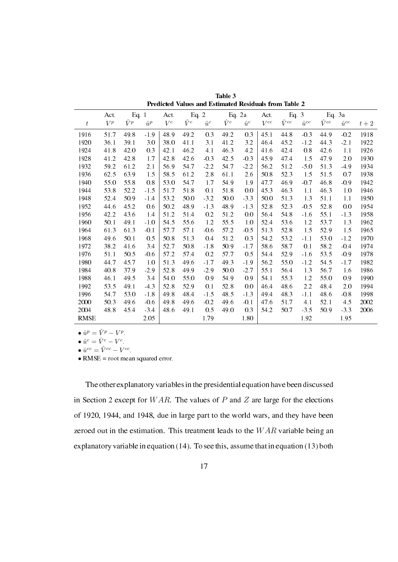|             | Act.  | Eq. $1$     |             | Act.  | Eq. $2$     |             |             | Eq. $2a$    | Act.     | Eq. $3$        |                |                | Eq. 3a         |       |
|-------------|-------|-------------|-------------|-------|-------------|-------------|-------------|-------------|----------|----------------|----------------|----------------|----------------|-------|
| t           | $V^p$ | $\hat{V}^p$ | $\hat{u}^p$ | $V^c$ | $\hat{V}^c$ | $\hat{u}^c$ | $\hat{V}^c$ | $\hat{u}^c$ | $V^{cc}$ | $\hat{V}^{cc}$ | $\hat{u}^{cc}$ | $\hat{V}^{cc}$ | $\hat{u}^{cc}$ | $t+2$ |
| 1916        | 51.7  | 49.8        | $-1.9$      | 48.9  | 49.2        | 0.3         | 49.2        | 0.3         | 45.1     | 44.8           | $-0.3$         | 44.9           | $-0.2$         | 1918  |
| 1920        | 36.1  | 39.1        | 3.0         | 38.0  | 41.1        | 3.1         | 41.2        | 3.2         | 46.4     | 45.2           | $-1.2$         | 44.3           | $-2.1$         | 1922  |
| 1924        | 41.8  | 42.0        | 0.3         | 42.1  | 46.2        | 4.1         | 46.3        | 4.2         | 41.6     | 42.4           | 0.8            | 42.6           | 1.1            | 1926  |
| 1928        | 41.2  | 42.8        | 1.7         | 42.8  | 42.6        | $-0.3$      | 42.5        | $-0.3$      | 45.9     | 47.4           | 1.5            | 47.9           | 2.0            | 1930  |
| 1932        | 59.2  | 61.2        | 2.1         | 56.9  | 54.7        | $-2.2$      | 54.7        | $-2.2$      | 56.2     | 51.2           | $-5.0$         | 51.3           | $-4.9$         | 1934  |
| 1936        | 62.5  | 63.9        | 1.5         | 58.5  | 61.2        | 2.8         | 61.1        | 2.6         | 50.8     | 52.3           | 1.5            | 51.5           | 0.7            | 1938  |
| 1940        | 55.0  | 558         | 0.8         | 53.0  | 54.7        | 1.7         | 549         | 1.9         | 47.7     | 46.9           | $-0.7$         | 46.8           | $-0.9$         | 1942  |
| 1944        | 53.8  | 52.2        | $-1.5$      | 51.7  | 51.8        | 0.1         | 51.8        | 0.0         | 45.3     | 46.3           | 1.1            | 46.3           | 1.0            | 1946  |
| 1948        | 52.4  | 50.9        | $-1.4$      | 53.2  | 50.0        | $-3.2$      | 50.0        | $-3.3$      | 50.0     | 51.3           | 1.3            | 51.1           | 1.1            | 1950  |
| 1952        | 44.6  | 45.2        | 0.6         | 50.2  | 48.9        | $-1.3$      | 48.9        | $-1.3$      | 52.8     | 52.3           | $-0.5$         | 52.8           | 0.0            | 1954  |
| 1956        | 42.2  | 43.6        | 1.4         | 51.2  | 51.4        | 0.2         | 51.2        | 0.0         | 56.4     | 548            | $-1.6$         | 55.1           | $-1.3$         | 1958  |
| 1960        | 50.1  | 49.1        | $-1.0$      | 54.5  | 55.6        | 1.2         | 55.5        | 1.0         | 52.4     | 53.6           | 1.2            | 53.7           | 1.3            | 1962  |
| 1964        | 61.3  | 61.3        | $-0.1$      | 57.7  | 57.1        | $-0.6$      | 57.2        | $-0.5$      | 51.3     | 52.8           | 1.5            | 52.9           | 1.5            | 1965  |
| 1968        | 49.6  | 50.1        | 0.5         | 50.8  | 513         | 0.4         | 512         | 0.3         | 54.2     | 53.2           | $-1.1$         | 53.0           | $-1.2$         | 1970  |
| 1972        | 38.2  | 41.6        | 3.4         | 52.7  | 50.8        | $-1.8$      | 50.9        | $-1.7$      | 58.6     | 58.7           | 0.1            | 58.2           | $-0.4$         | 1974  |
| 1976        | 51.1  | 50.5        | $-0.6$      | 57.2  | 57.4        | 0.2         | 57.7        | 0.5         | 54.4     | 52.9           | $-1.6$         | 53.5           | $-0.9$         | 1978  |
| 1980        | 44.7  | 45.7        | 1.0         | 51.3  | 49.6        | $-1.7$      | 49.3        | $-1.9$      | 56.2     | 55.0           | $-1.2$         | 54.5           | $-1.7$         | 1982  |
| 1984        | 40.8  | 37.9        | $-2.9$      | 52.8  | 49.9        | $-2.9$      | 50.0        | $-2.7$      | 55.1     | 56.4           | 1.3            | 56.7           | 1.6            | 1986  |
| 1988        | 46.1  | 49.5        | 3.4         | 54.0  | 55.0        | 0.9         | 54.9        | 0.9         | 54 1     | 55.3           | 1.2            | 55.0           | 0.9            | 1990  |
| 1992        | 53.5  | 49.1        | $-4.3$      | 52.8  | 52.9        | 0.1         | 52.8        | 0.0         | 46.4     | 48.6           | 2.2            | 48.4           | 2.0            | 1994  |
| 1996        | 54.7  | 53.0        | $-1.8$      | 49.8  | 48.4        | $-1.5$      | 48.5        | $-1.3$      | 49.4     | 48.3           | $-1,1$         | 48.6           | $-0.8$         | 1998  |
| 2000        | 50.3  | 49.6        | $-0.6$      | 49.8  | 49.6        | $-0.2$      | 49.6        | $-0.1$      | 47.6     | 51.7           | 4.1            | 52.1           | 4.5            | 2002  |
| 2004        | 48.8  | 45.4        | $-3.4$      | 48.6  | 49.1        | 0.5         | 49.0        | 0.3         | 54.2     | 50.7           | $-3.5$         | 50.9           | $-3.3$         | 2006  |
| <b>RMSE</b> |       |             | 2.05        |       |             | 1.79        |             | 1.80        |          |                | 1.92           |                | 1.95           |       |

Table 3 Predicted Values and Estimated Residuals from Table 2

•  $\hat{u}^p = \hat{V}^p - V^p$ .

•  $\hat{u}^c = \hat{V}^c - V^c$ .

•  $\hat{u}^{cc} = \hat{V}^{cc} - V^{cc}$ .

• RMSE = root mean squared error.

The other explanatory variables in the presidential equation have been discussed in Section 2 except for *W AR*. The values of *P* and *Z* are large for the elections of 1920, 1944, and 1948, due in large part to the world wars, and they have been zeroed out in the estimation. This treatment leads to the *W AR* variable being an explanatory variable in equation (14). To see this, assume that in equation (13) both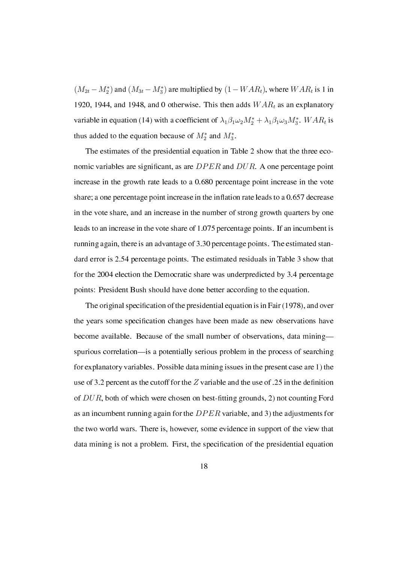$(M_{2t} - M_2^*)$  and  $(M_{3t} - M_3^*)$  are multiplied by  $(1 - WAR_t)$ , where  $WAR_t$  is 1 in 1920, 1944, and 1948, and 0 otherwise. This then adds *W AR<sup>t</sup>* as an explanatory variable in equation (14) with a coefficient of  $\lambda_1 \beta_1 \omega_2 M_2^* + \lambda_1 \beta_1 \omega_3 M_3^*$ .  $WAR_t$  is thus added to the equation because of  $M_2^*$  and  $M_3^*$ .

The estimates of the presidential equation in Table 2 show that the three economic variables are signicant, as are *DP ER* and *DUR*. A one percentage point increase in the growth rate leads to a 0.680 percentage point increase in the vote share; a one percentage point increase in the inflation rate leads to a  $0.657$  decrease in the vote share, and an increase in the number of strong growth quarters by one leads to an increase in the vote share of 1.075 percentage points. If an incumbent is running again, there is an advantage of 3.30 percentage points. The estimated standard error is 2.54 percentage points. The estimated residuals in Table 3 show that for the 2004 election the Democratic share was underpredicted by 3.4 percentage points: President Bush should have done better according to the equation.

The original specification of the presidential equation is in Fair (1978), and over the years some specication changes have been made as new observations have become available. Because of the small number of observations, data mining spurious correlation—is a potentially serious problem in the process of searching for explanatory variables. Possible data mining issues in the present case are 1) the use of 3.2 percent as the cutoff for the  $Z$  variable and the use of .25 in the definition of  $DUR$ , both of which were chosen on best-fitting grounds, 2) not counting Ford as an incumbent running again for the *DP ER* variable, and 3) the adjustments for the two world wars. There is, however, some evidence in support of the view that data mining is not a problem. First, the specification of the presidential equation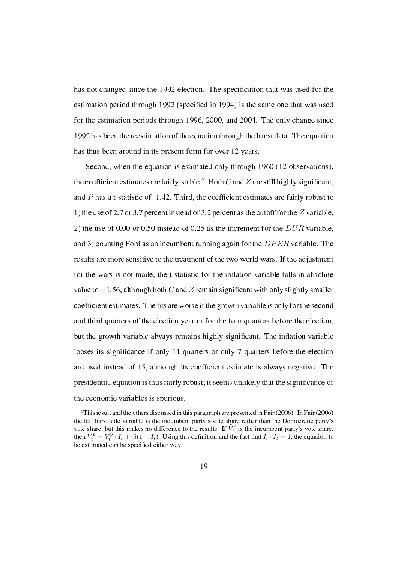has not changed since the 1992 election. The specification that was used for the estimation period through 1992 (specified in 1994) is the same one that was used for the estimation periods through 1996, 2000, and 2004. The only change since 1992 has been the reestimation of the equation through the latest data. The equation has thus been around in its present form for over 12 years.

Second, when the equation is estimated only through 1960 (12 observations), the coefficient estimates are fairly stable.<sup>5</sup> Both  $G$  and  $Z$  are still highly significant, and  $P$  has a t-statistic of -1.42. Third, the coefficient estimates are fairly robust to 1) the use of 2.7 or 3.7 percent instead of 3.2 percent as the cutoff for the *Z* variable, 2) the use of 0.00 or 0.50 instead of 0.25 as the increment for the *DUR* variable, and 3) counting Ford as an incumbent running again for the *DP ER* variable. The results are more sensitive to the treatment of the two world wars. If the adjustment for the wars is not made, the t-statistic for the inflation variable falls in absolute value to *−*1.56, although both *G* and*Z* remain signicant with only slightly smaller coefficient estimates. The fits are worse if the growth variable is only for the second and third quarters of the election year or for the four quarters before the election, but the growth variable always remains highly significant. The inflation variable looses its signicance if only 11 quarters or only 7 quarters before the election are used instead of 15, although its coefficient estimate is always negative. The presidential equation is thus fairly robust; it seems unlikely that the significance of the economic variables is spurious.

<sup>5</sup>This result and the others discussed in this paragraph are presented in Fair (2006). In Fair (2006) the left hand side variable is the incumbent party's vote share rather than the Democratic party's vote share, but this makes no difference to the results. If  $\tilde{V}_t^p$  is the incumbent party's vote share, then  $\tilde{V}_t^p = V_t^p \cdot I_t + .5(1 - I_t)$ . Using this definition and the fact that  $I_t \cdot I_t = 1$ , the equation to be estimated can be specified either way.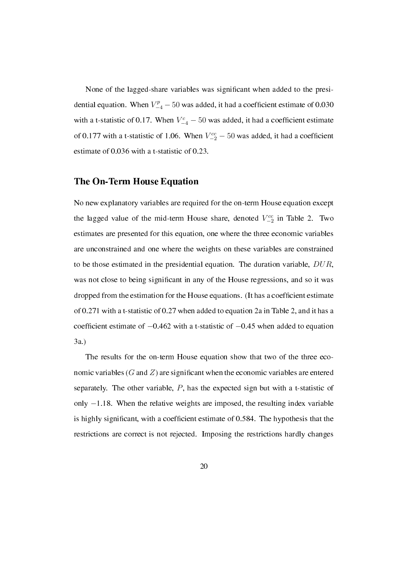None of the lagged-share variables was signicant when added to the presidential equation. When  $V_{-4}^p - 50$  was added, it had a coefficient estimate of 0.030 with a t-statistic of 0.17. When  $V_{-4}^c - 50$  was added, it had a coefficient estimate of 0.177 with a t-statistic of 1.06. When  $V_{-2}^{cc}$  – 50 was added, it had a coefficient estimate of 0.036 with a t-statistic of 0.23.

#### The On-Term House Equation

No new explanatory variables are required for the on-term House equation except the lagged value of the mid-term House share, denoted *V cc −*2 in Table 2. Two estimates are presented for this equation, one where the three economic variables are unconstrained and one where the weights on these variables are constrained to be those estimated in the presidential equation. The duration variable, *DUR*, was not close to being signicant in any of the House regressions, and so it was dropped from the estimation for the House equations. (It has a coefficient estimate of 0.271 with a t-statistic of 0.27 when added to equation 2a in Table 2, and it has a coefficient estimate of  $-0.462$  with a t-statistic of  $-0.45$  when added to equation 3a.)

The results for the on-term House equation show that two of the three economic variables  $(G \text{ and } Z)$  are significant when the economic variables are entered separately. The other variable, *P*, has the expected sign but with a t-statistic of only *−*1.18. When the relative weights are imposed, the resulting index variable is highly significant, with a coefficient estimate of 0.584. The hypothesis that the restrictions are correct is not rejected. Imposing the restrictions hardly changes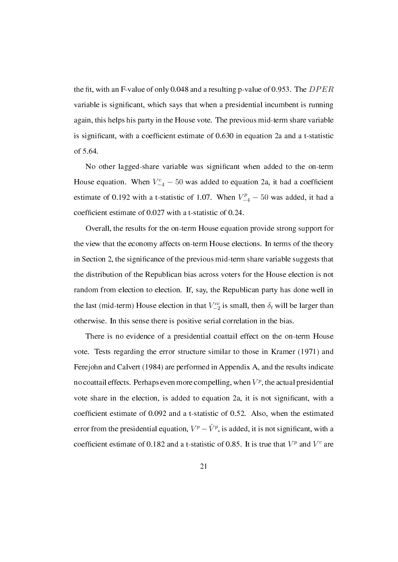the fit, with an F-value of only 0.048 and a resulting p-value of 0.953. The *DPER* variable is signicant, which says that when a presidential incumbent is running again, this helps his party in the House vote. The previous mid-term share variable is significant, with a coefficient estimate of 0.630 in equation 2a and a t-statistic of 5.64.

No other lagged-share variable was signicant when added to the on-term House equation. When  $V_{-4}^c - 50$  was added to equation 2a, it had a coefficient estimate of 0.192 with a t-statistic of 1.07. When  $V_{-4}^{p}$  – 50 was added, it had a coefficient estimate of 0.027 with a t-statistic of 0.24.

Overall, the results for the on-term House equation provide strong support for the view that the economy affects on-term House elections. In terms of the theory in Section 2, the signicance of the previous mid-term share variable suggests that the distribution of the Republican bias across voters for the House election is not random from election to election. If, say, the Republican party has done well in the last (mid-term) House election in that  $V_{-2}^{cc}$  is small, then  $\delta_t$  will be larger than otherwise. In this sense there is positive serial correlation in the bias.

There is no evidence of a presidential coattail effect on the on-term House vote. Tests regarding the error structure similar to those in Kramer (1971) and Ferejohn and Calvert (1984) are performed in Appendix A, and the results indicate no coattail effects. Perhaps even more compelling, when  $V^p$ , the actual presidential vote share in the election, is added to equation 2a, it is not signicant, with a coefficient estimate of 0.092 and a t-statistic of 0.52. Also, when the estimated error from the presidential equation,  $V^p - \hat{V}^p$ , is added, it is not significant, with a coefficient estimate of 0.182 and a t-statistic of 0.85. It is true that  $V^p$  and  $V^c$  are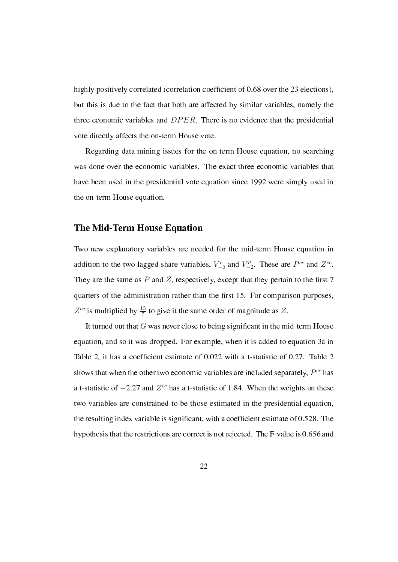highly positively correlated (correlation coefficient of 0.68 over the 23 elections), but this is due to the fact that both are affected by similar variables, namely the three economic variables and *DP ER*. There is no evidence that the presidential vote directly affects the on-term House vote.

Regarding data mining issues for the on-term House equation, no searching was done over the economic variables. The exact three economic variables that have been used in the presidential vote equation since 1992 were simply used in the on-term House equation.

#### The Mid-Term House Equation

Two new explanatory variables are needed for the mid-term House equation in addition to the two lagged-share variables,  $V_{-2}^c$  and  $V_{-2}^p$  $Z_{-2}^p$ . These are  $P^{cc}$  and  $Z^{cc}$ . They are the same as  $P$  and  $Z$ , respectively, except that they pertain to the first  $7$ quarters of the administration rather than the first 15. For comparison purposes,  $Z^{cc}$  is multiplied by  $\frac{15}{7}$  to give it the same order of magnitude as Z.

It turned out that *G* was never close to being signicant in the mid-term House equation, and so it was dropped. For example, when it is added to equation 3a in Table 2, it has a coefficient estimate of 0.022 with a t-statistic of 0.27. Table 2 shows that when the other two economic variables are included separately, *P cc* has a t-statistic of *−*2.27 and *Z cc* has a t-statistic of 1.84. When the weights on these two variables are constrained to be those estimated in the presidential equation, the resulting index variable is signicant, with a coefcient estimate of 0.528. The hypothesis that the restrictions are correct is not rejected. The F-value is 0.656 and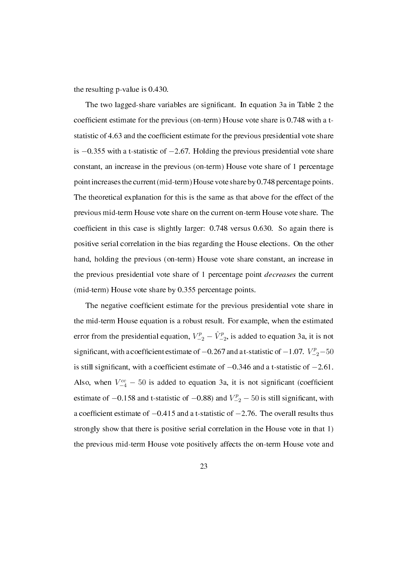the resulting p-value is 0.430.

The two lagged-share variables are signicant. In equation 3a in Table 2 the coefficient estimate for the previous (on-term) House vote share is 0.748 with a tstatistic of 4.63 and the coefficient estimate for the previous presidential vote share is *−*0.355 with a t-statistic of *−*2.67. Holding the previous presidential vote share constant, an increase in the previous (on-term) House vote share of 1 percentage point increases the current (mid-term) House vote share by 0.748 percentage points. The theoretical explanation for this is the same as that above for the effect of the previous mid-term House vote share on the current on-term House vote share. The coefficient in this case is slightly larger: 0.748 versus 0.630. So again there is positive serial correlation in the bias regarding the House elections. On the other hand, holding the previous (on-term) House vote share constant, an increase in the previous presidential vote share of 1 percentage point *decreases* the current (mid-term) House vote share by 0.355 percentage points.

The negative coefficient estimate for the previous presidential vote share in the mid-term House equation is a robust result. For example, when the estimated error from the presidential equation,  $V_{-2}^p - \hat{V}_{-2}^p$ , is added to equation 3a, it is not significant, with a coefficient estimate of  $-0.267$  and a t-statistic of  $-1.07$ .  $V_{-2}^p - 50$ is still signicant, with a coefcient estimate of *−*0.346 and a t-statistic of *−*2.61. Also, when  $V_{-4}^{cc}$  – 50 is added to equation 3a, it is not significant (coefficient estimate of  $-0.158$  and t-statistic of  $-0.88$ ) and  $V_{-2}^{p}$  − 50 is still significant, with a coefcient estimate of *−*0.415 and a t-statistic of *−*2.76. The overall results thus strongly show that there is positive serial correlation in the House vote in that 1) the previous mid-term House vote positively affects the on-term House vote and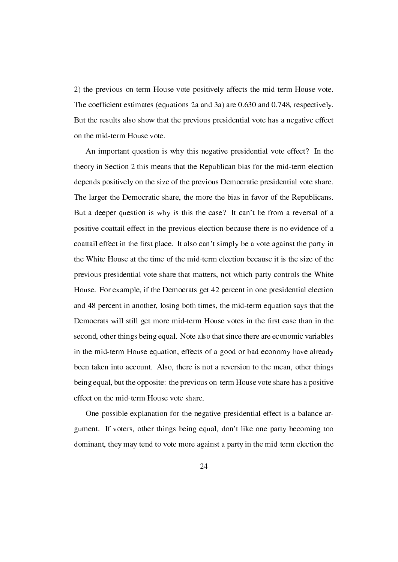2) the previous on-term House vote positively affects the mid-term House vote. The coefficient estimates (equations 2a and 3a) are 0.630 and 0.748, respectively. But the results also show that the previous presidential vote has a negative effect on the mid-term House vote.

An important question is why this negative presidential vote effect? In the theory in Section 2 this means that the Republican bias for the mid-term election depends positively on the size of the previous Democratic presidential vote share. The larger the Democratic share, the more the bias in favor of the Republicans. But a deeper question is why is this the case? It can't be from a reversal of a positive coattail effect in the previous election because there is no evidence of a coattail effect in the first place. It also can't simply be a vote against the party in the White House at the time of the mid-term election because it is the size of the previous presidential vote share that matters, not which party controls the White House. For example, if the Democrats get 42 percent in one presidential election and 48 percent in another, losing both times, the mid-term equation says that the Democrats will still get more mid-term House votes in the first case than in the second, other things being equal. Note also that since there are economic variables in the mid-term House equation, effects of a good or bad economy have already been taken into account. Also, there is not a reversion to the mean, other things being equal, but the opposite: the previous on-term House vote share has a positive effect on the mid-term House vote share.

One possible explanation for the negative presidential effect is a balance argument. If voters, other things being equal, don't like one party becoming too dominant, they may tend to vote more against a party in the mid-term election the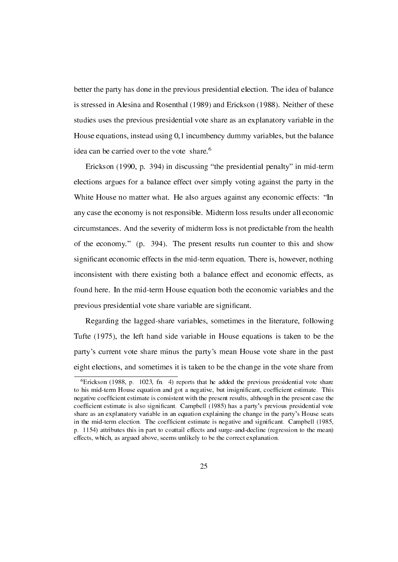better the party has done in the previous presidential election. The idea of balance is stressed in Alesina and Rosenthal (1989) and Erickson (1988). Neither of these studies uses the previous presidential vote share as an explanatory variable in the House equations, instead using 0,1 incumbency dummy variables, but the balance idea can be carried over to the vote share.<sup>6</sup>

Erickson (1990, p. 394) in discussing "the presidential penalty" in mid-term elections argues for a balance effect over simply voting against the party in the White House no matter what. He also argues against any economic effects: "In any case the economy is not responsible. Midterm loss results under all economic circumstances. And the severity of midterm loss is not predictable from the health of the economy." (p. 394). The present results run counter to this and show significant economic effects in the mid-term equation. There is, however, nothing inconsistent with there existing both a balance effect and economic effects, as found here. In the mid-term House equation both the economic variables and the previous presidential vote share variable are signicant.

Regarding the lagged-share variables, sometimes in the literature, following Tufte (1975), the left hand side variable in House equations is taken to be the party's current vote share minus the party's mean House vote share in the past eight elections, and sometimes it is taken to be the change in the vote share from

 $6E$ rickson (1988, p. 1023, fn. 4) reports that he added the previous presidential vote share to his mid-term House equation and got a negative, but insignificant, coefficient estimate. This negative coefficient estimate is consistent with the present results, although in the present case the coefficient estimate is also significant. Campbell (1985) has a party's previous presidential vote share as an explanatory variable in an equation explaining the change in the party's House seats in the mid-term election. The coefficient estimate is negative and significant. Campbell (1985, p. 1154) attributes this in part to coattail effects and surge-and-decline (regression to the mean) effects, which, as argued above, seems unlikely to be the correct explanation.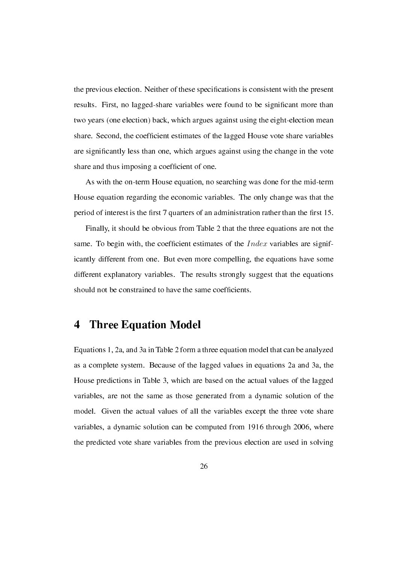the previous election. Neither of these specications is consistent with the present results. First, no lagged-share variables were found to be signicant more than two years (one election) back, which argues against using the eight-election mean share. Second, the coefficient estimates of the lagged House vote share variables are signicantly less than one, which argues against using the change in the vote share and thus imposing a coefficient of one.

As with the on-term House equation, no searching was done for the mid-term House equation regarding the economic variables. The only change was that the period of interest is the first 7 quarters of an administration rather than the first 15.

Finally, it should be obvious from Table 2 that the three equations are not the same. To begin with, the coefficient estimates of the *Index* variables are significantly different from one. But even more compelling, the equations have some different explanatory variables. The results strongly suggest that the equations should not be constrained to have the same coefficients.

### 4 Three Equation Model

Equations 1, 2a, and 3a in Table 2 form a three equation model that can be analyzed as a complete system. Because of the lagged values in equations 2a and 3a, the House predictions in Table 3, which are based on the actual values of the lagged variables, are not the same as those generated from a dynamic solution of the model. Given the actual values of all the variables except the three vote share variables, a dynamic solution can be computed from 1916 through 2006, where the predicted vote share variables from the previous election are used in solving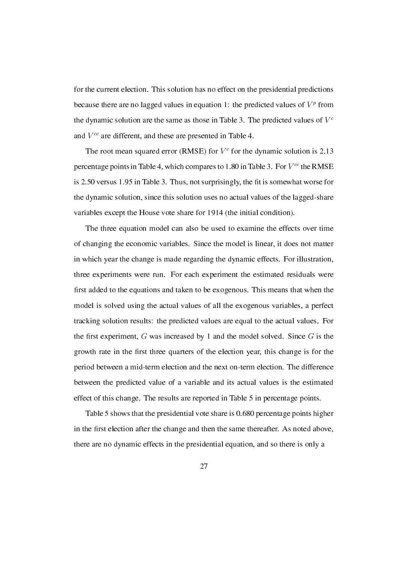for the current election. This solution has no effect on the presidential predictions because there are no lagged values in equation 1: the predicted values of  $V^p$  from the dynamic solution are the same as those in Table 3. The predicted values of  $V^c$ and *V cc* are different, and these are presented in Table 4.

The root mean squared error (RMSE) for  $V^c$  for the dynamic solution is 2.13 percentage points in Table 4, which compares to 1.80 in Table 3. For *V cc* the RMSE is 2.50 versus 1.95 in Table 3. Thus, not surprisingly, the fit is somewhat worse for the dynamic solution, since this solution uses no actual values of the lagged-share variables except the House vote share for 1914 (the initial condition).

The three equation model can also be used to examine the effects over time of changing the economic variables. Since the model is linear, it does not matter in which year the change is made regarding the dynamic effects. For illustration, three experiments were run. For each experiment the estimated residuals were first added to the equations and taken to be exogenous. This means that when the model is solved using the actual values of all the exogenous variables, a perfect tracking solution results: the predicted values are equal to the actual values. For the first experiment,  $G$  was increased by 1 and the model solved. Since  $G$  is the growth rate in the first three quarters of the election year, this change is for the period between a mid-term election and the next on-term election. The difference between the predicted value of a variable and its actual values is the estimated effect of this change. The results are reported in Table 5 in percentage points.

Table 5 shows that the presidential vote share is 0.680 percentage points higher in the first election after the change and then the same thereafter. As noted above, there are no dynamic effects in the presidential equation, and so there is only a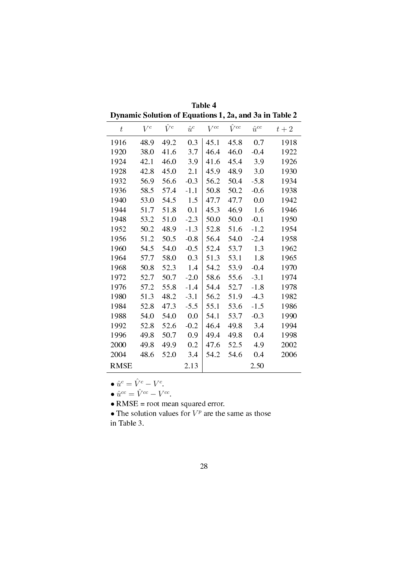|                                                        | Table 4 |  |
|--------------------------------------------------------|---------|--|
| Dynamic Solution of Equations 1, 2a, and 3a in Table 2 |         |  |

| $\boldsymbol{t}$ | $V^c$ | $\hat{V}^c$ | $\hat{u}^c$ | $V^{cc}$ | $\hat{V}^{cc}$ | $\hat{u}^{cc}$ | $t+2$ |
|------------------|-------|-------------|-------------|----------|----------------|----------------|-------|
| 1916             | 48.9  | 49.2        | 0.3         | 45.1     | 45.8           | 0.7            | 1918  |
| 1920             | 38.0  | 41.6        | 3.7         | 46.4     | 46.0           | $-0.4$         | 1922  |
| 1924             | 42.1  | 46.0        | 3.9         | 41.6     | 45.4           | 3.9            | 1926  |
| 1928             | 42.8  | 45.0        | 2.1         | 45.9     | 48.9           | 3.0            | 1930  |
| 1932             | 56.9  | 56.6        | $-0.3$      | 56.2     | 50.4           | $-5.8$         | 1934  |
| 1936             | 58.5  | 57.4        | $-1.1$      | 50.8     | 50.2           | $-0.6$         | 1938  |
| 1940             | 53.0  | 54.5        | 1.5         | 47.7     | 47.7           | 0.0            | 1942  |
| 1944             | 51.7  | 51.8        | 0.1         | 45.3     | 46.9           | 1.6            | 1946  |
| 1948             | 53.2  | 51.0        | $-2.3$      | 50.0     | 50.0           | $-0.1$         | 1950  |
| 1952             | 50.2  | 48.9        | $-1.3$      | 52.8     | 51.6           | $-1.2$         | 1954  |
| 1956             | 51.2  | 50.5        | $-0.8$      | 56.4     | 54.0           | $-2.4$         | 1958  |
| 1960             | 54.5  | 54.0        | $-0.5$      | 52.4     | 53.7           | 1.3            | 1962  |
| 1964             | 57.7  | 58.0        | 0.3         | 51.3     | 53.1           | 1.8            | 1965  |
| 1968             | 50.8  | 52.3        | 1.4         | 54.2     | 53.9           | $-0.4$         | 1970  |
| 1972             | 52.7  | 50.7        | $-2.0$      | 58.6     | 55.6           | $-3.1$         | 1974  |
| 1976             | 57.2  | 55.8        | $-1.4$      | 54.4     | 52.7           | $-1.8$         | 1978  |
| 1980             | 51.3  | 48.2        | $-3.1$      | 56.2     | 51.9           | $-4.3$         | 1982  |
| 1984             | 52.8  | 47.3        | $-5.5$      | 55.1     | 53.6           | $-1.5$         | 1986  |
| 1988             | 54.0  | 54.0        | 0.0         | 54.1     | 53.7           | $-0.3$         | 1990  |
| 1992             | 52.8  | 52.6        | $-0.2$      | 46.4     | 49.8           | 3.4            | 1994  |
| 1996             | 49.8  | 50.7        | 0.9         | 49.4     | 49.8           | 0.4            | 1998  |
| 2000             | 49.8  | 49.9        | 0.2         | 47.6     | 52.5           | 4.9            | 2002  |
| 2004             | 48.6  | 52.0        | 3.4         | 54.2     | 54.6           | 0.4            | 2006  |
| <b>RMSE</b>      |       |             | 2.13        |          |                | 2.50           |       |

•  $\hat{u}^c = \hat{V}^c - V^c$ .

•  $\hat{u}^{cc} = \hat{V}^{cc} - V^{cc}$ .

• RMSE = root mean squared error.

• The solution values for  $V^p$  are the same as those

in Table 3.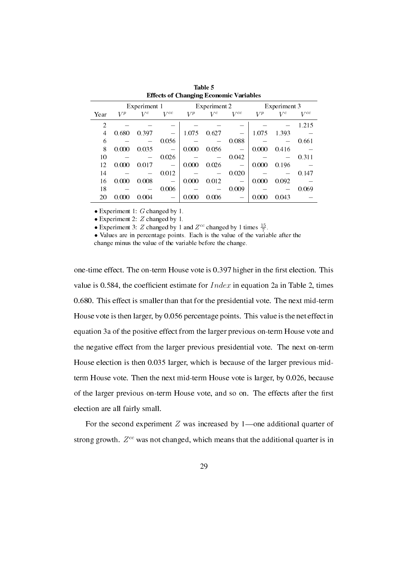|                |       | Experiment 1 |          |       | Experiment 2 |          | Experiment 3 |       |          |
|----------------|-------|--------------|----------|-------|--------------|----------|--------------|-------|----------|
| Year           | $V^p$ | $V^c$        | $V^{cc}$ | $V^p$ | $V^c$        | $V^{cc}$ | $V^p$        | $V^c$ | $V^{cc}$ |
| $\overline{c}$ |       |              |          |       |              |          |              |       | 1.215    |
| 4              | 0.680 | 0.397        |          | 1.075 | 0.627        |          | 1.075        | 1.393 |          |
| 6              |       |              | 0.056    |       |              | 0.088    |              |       | 0.661    |
| 8              | 0.000 | 0.035        |          | 0.000 | 0.056        |          | 0.000        | 0.416 |          |
| 10             |       |              | 0.026    |       |              | 0.042    |              |       | 0.311    |
| 12             | 0.000 | 0.017        |          | 0.000 | 0.026        |          | 0.000        | 0.196 |          |
| 14             |       |              | 0.012    |       |              | 0.020    |              |       | 0.147    |
| 16             | 0.000 | 0.008        |          | 0.000 | 0.012        |          | 0.000        | 0.092 |          |
| 18             |       |              | 0.006    |       |              | 0.009    |              |       | 0.069    |
| 20             | 0.000 | 0.004        |          | 0.000 | 0.006        |          | 0.000        | 0.043 |          |

Table 5 Effects of Changing Economic Variables

*•* Experiment 1: *G* changed by 1.

*•* Experiment 2: *Z* changed by 1.

• Experiment 3: *Z* changed by 1 and  $Z^{cc}$  changed by 1 times  $\frac{15}{7}$ .

• Values are in percentage points. Each is the value of the variable after the change minus the value of the variable before the change.

one-time effect. The on-term House vote is 0.397 higher in the first election. This value is 0.584, the coefficient estimate for *Index* in equation 2a in Table 2, times 0.680. This effect is smaller than that for the presidential vote. The next mid-term House vote is then larger, by 0.056 percentage points. This value is the net effect in equation 3a of the positive effect from the larger previous on-term House vote and the negative effect from the larger previous presidential vote. The next on-term House election is then 0.035 larger, which is because of the larger previous midterm House vote. Then the next mid-term House vote is larger, by 0.026, because of the larger previous on-term House vote, and so on. The effects after the first election are all fairly small.

For the second experiment  $Z$  was increased by 1—one additional quarter of strong growth. *Z cc* was not changed, which means that the additional quarter is in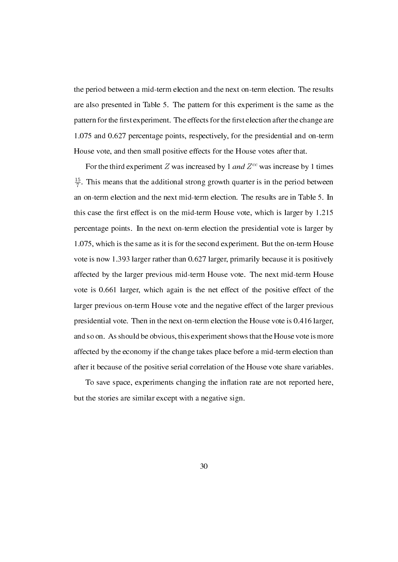the period between a mid-term election and the next on-term election. The results are also presented in Table 5. The pattern for this experiment is the same as the pattern for the first experiment. The effects for the first election after the change are 1.075 and 0.627 percentage points, respectively, for the presidential and on-term House vote, and then small positive effects for the House votes after that.

For the third experiment *Z* was increased by 1 and *Z cc* was increase by 1 times 15  $\frac{15}{7}$ . This means that the additional strong growth quarter is in the period between an on-term election and the next mid-term election. The results are in Table 5. In this case the first effect is on the mid-term House vote, which is larger by 1.215 percentage points. In the next on-term election the presidential vote is larger by 1.075, which is the same as it is for the second experiment. But the on-term House vote is now 1.393 larger rather than 0.627 larger, primarily because it is positively affected by the larger previous mid-term House vote. The next mid-term House vote is 0.661 larger, which again is the net effect of the positive effect of the larger previous on-term House vote and the negative effect of the larger previous presidential vote. Then in the next on-term election the House vote is 0.416 larger, and so on. As should be obvious, this experiment shows that the House vote is more affected by the economy if the change takes place before a mid-term election than after it because of the positive serial correlation of the House vote share variables.

To save space, experiments changing the inflation rate are not reported here, but the stories are similar except with a negative sign.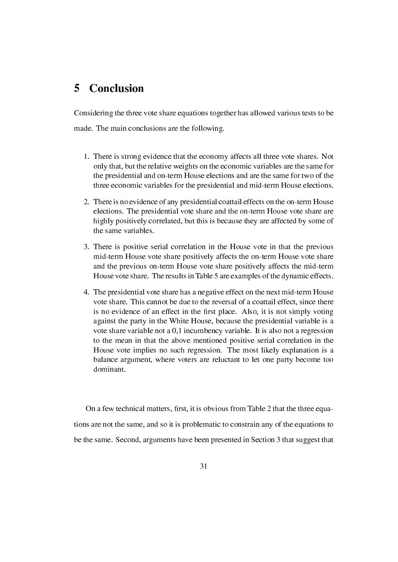### 5 Conclusion

Considering the three vote share equations together has allowed various tests to be made. The main conclusions are the following.

- 1. There is strong evidence that the economy affects all three vote shares. Not only that, but the relative weights on the economic variables are the same for the presidential and on-term House elections and are the same for two of the three economic variables for the presidential and mid-term House elections.
- 2. There is no evidence of any presidential coattail effects on the on-term House elections. The presidential vote share and the on-term House vote share are highly positively correlated, but this is because they are affected by some of the same variables.
- 3. There is positive serial correlation in the House vote in that the previous mid-term House vote share positively affects the on-term House vote share and the previous on-term House vote share positively affects the mid-term House vote share. The results in Table 5 are examples of the dynamic effects.
- 4. The presidential vote share has a negative effect on the next mid-term House vote share. This cannot be due to the reversal of a coattail effect, since there is no evidence of an effect in the first place. Also, it is not simply voting against the party in the White House, because the presidential variable is a vote share variable not a 0,1 incumbency variable. It is also not a regression to the mean in that the above mentioned positive serial correlation in the House vote implies no such regression. The most likely explanation is a balance argument, where voters are reluctant to let one party become too dominant.

On a few technical matters, first, it is obvious from Table 2 that the three equations are not the same, and so it is problematic to constrain any of the equations to be the same. Second, arguments have been presented in Section 3 that suggest that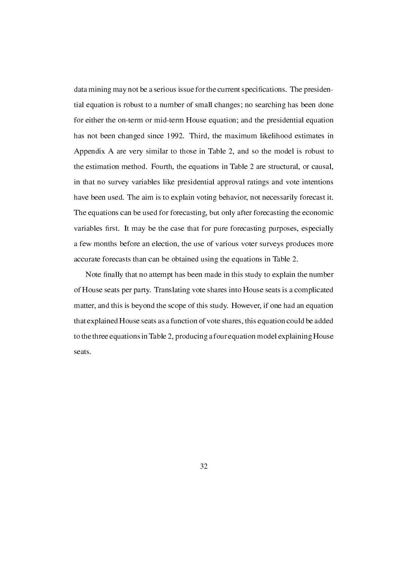data mining may not be a serious issue for the current specifications. The presidential equation is robust to a number of small changes; no searching has been done for either the on-term or mid-term House equation; and the presidential equation has not been changed since 1992. Third, the maximum likelihood estimates in Appendix A are very similar to those in Table 2, and so the model is robust to the estimation method. Fourth, the equations in Table 2 are structural, or causal, in that no survey variables like presidential approval ratings and vote intentions have been used. The aim is to explain voting behavior, not necessarily forecast it. The equations can be used for forecasting, but only after forecasting the economic variables first. It may be the case that for pure forecasting purposes, especially a few months before an election, the use of various voter surveys produces more accurate forecasts than can be obtained using the equations in Table 2.

Note finally that no attempt has been made in this study to explain the number of House seats per party. Translating vote shares into House seats is a complicated matter, and this is beyond the scope of this study. However, if one had an equation that explained House seats as a function of vote shares, this equation could be added to the three equations in Table 2, producing a four equation model explaining House seats.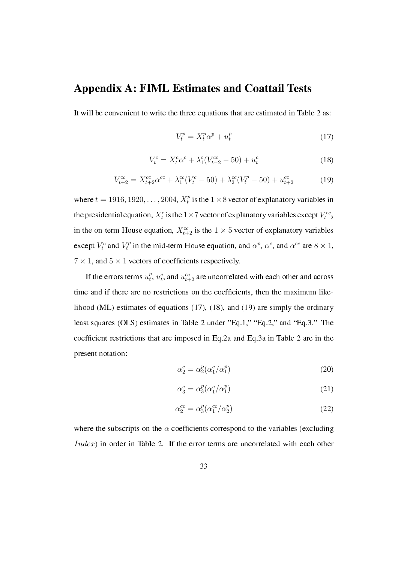## Appendix A: FIML Estimates and Coattail Tests

It will be convenient to write the three equations that are estimated in Table 2 as:

$$
V_t^p = X_t^p \alpha^p + u_t^p \tag{17}
$$

$$
V_t^c = X_t^c \alpha^c + \lambda_1^c (V_{t-2}^{cc} - 50) + u_t^c \tag{18}
$$

$$
V_{t+2}^{cc} = X_{t+2}^{cc} \alpha^{cc} + \lambda_1^{cc} (V_t^c - 50) + \lambda_2^{cc} (V_t^p - 50) + u_{t+2}^{cc}
$$
 (19)

where  $t = 1916, 1920, \ldots, 2004, X_t^p$  $t<sup>p</sup>$  is the  $1 \times 8$  vector of explanatory variables in the presidential equation,  $X_t^c$  is the 1×7 vector of explanatory variables except  $V_{t-2}^{cc}$ in the on-term House equation,  $X_{t+2}^{cc}$  is the  $1 \times 5$  vector of explanatory variables except  $V_t^c$  and  $V_t^p$ *t*<sup>*p*</sup> in the mid-term House equation, and  $\alpha^p$ ,  $\alpha^c$ , and  $\alpha^{cc}$  are  $8 \times 1$ ,  $7 \times 1$ , and  $5 \times 1$  vectors of coefficients respectively.

If the errors terms  $u_t^p$  $t_t^p$ ,  $u_t^c$ , and  $u_{t+2}^{cc}$  are uncorrelated with each other and across time and if there are no restrictions on the coefficients, then the maximum likelihood (ML) estimates of equations (17), (18), and (19) are simply the ordinary least squares (OLS) estimates in Table 2 under "Eq.1," "Eq.2," and "Eq.3." The coefficient restrictions that are imposed in Eq.2a and Eq.3a in Table 2 are in the present notation:

$$
\alpha_2^c = \alpha_2^p(\alpha_1^c/\alpha_1^p) \tag{20}
$$

$$
\alpha_3^c = \alpha_3^p(\alpha_1^c/\alpha_1^p) \tag{21}
$$

$$
\alpha_2^{cc} = \alpha_3^p(\alpha_1^{cc}/\alpha_2^p) \tag{22}
$$

where the subscripts on the  $\alpha$  coefficients correspond to the variables (excluding *Index*) in order in Table 2. If the error terms are uncorrelated with each other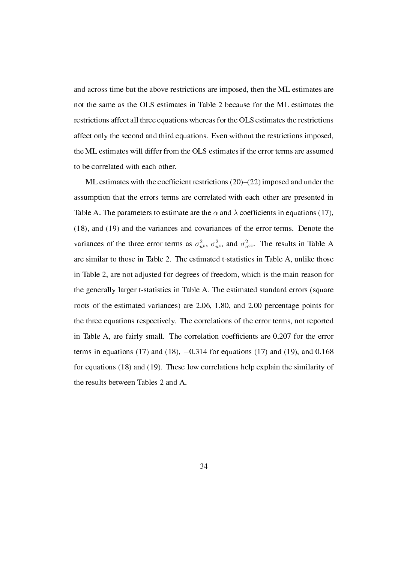and across time but the above restrictions are imposed, then the ML estimates are not the same as the OLS estimates in Table 2 because for the ML estimates the restrictions affect all three equations whereas for the OLS estimates the restrictions affect only the second and third equations. Even without the restrictions imposed, the ML estimates will differ from the OLS estimates if the error terms are assumed to be correlated with each other.

ML estimates with the coefficient restrictions  $(20)$ – $(22)$  imposed and under the assumption that the errors terms are correlated with each other are presented in Table A. The parameters to estimate are the  $\alpha$  and  $\lambda$  coefficients in equations (17), (18), and (19) and the variances and covariances of the error terms. Denote the variances of the three error terms as  $\sigma_{u}^2$ ,  $\sigma_{u}^2$ , and  $\sigma_{u}^2$ . The results in Table A are similar to those in Table 2. The estimated t-statistics in Table A, unlike those in Table 2, are not adjusted for degrees of freedom, which is the main reason for the generally larger t-statistics in Table A. The estimated standard errors (square roots of the estimated variances) are 2.06, 1.80, and 2.00 percentage points for the three equations respectively. The correlations of the error terms, not reported in Table A, are fairly small. The correlation coefficients are 0.207 for the error terms in equations (17) and (18), *−*0.314 for equations (17) and (19), and 0.168 for equations (18) and (19). These low correlations help explain the similarity of the results between Tables 2 and A.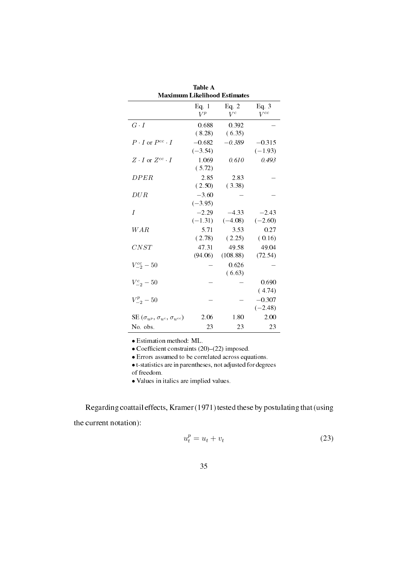| <b>Maximum Likelihood Estimates</b>                               |                       |                      |                       |  |  |  |  |  |  |
|-------------------------------------------------------------------|-----------------------|----------------------|-----------------------|--|--|--|--|--|--|
|                                                                   | Eq. 1<br>$V^p$        | Eq. $2$<br>$V^c$     | Eq. 3<br>$V^{cc}$     |  |  |  |  |  |  |
| $G \cdot I$                                                       | 0.688<br>(8.28)       | 0.392<br>(6.35)      |                       |  |  |  |  |  |  |
| $P \cdot I$ or $P^{cc} \cdot I$                                   | $-0.682$<br>$(-3.54)$ | $-0.389$             | $-0.315$<br>$(-1.93)$ |  |  |  |  |  |  |
| $Z \cdot I$ or $Z^{cc} \cdot I$                                   | 1.069<br>(5.72)       | 0.610                | 0.493                 |  |  |  |  |  |  |
| DPER                                                              | 2.85<br>(2.50)        | 2.83<br>(3.38)       |                       |  |  |  |  |  |  |
| DUR                                                               | $-3.60$<br>$(-3.95)$  |                      |                       |  |  |  |  |  |  |
| I                                                                 | $-2.29$<br>$(-1.31)$  | $-4.33$<br>$(-4.08)$ | $-2.43$<br>$(-2.60)$  |  |  |  |  |  |  |
| WAR                                                               | 5.71<br>(2.78)        | 3.53<br>(2.25)       | 0.27<br>(0.16)        |  |  |  |  |  |  |
| CNST                                                              | 47.31<br>(94.06)      | 49.58<br>(108.88)    | 49.04<br>(72.54)      |  |  |  |  |  |  |
| $V_{-2}^{cc} - 50$                                                |                       | 0.626<br>(6.63)      |                       |  |  |  |  |  |  |
| $V_{-2}^{c} - 50$                                                 |                       |                      | 0.690<br>(4.74)       |  |  |  |  |  |  |
| $V_{-2}^p - 50$                                                   |                       |                      | $-0.307$<br>$(-2.48)$ |  |  |  |  |  |  |
| $\text{SE}\left(\sigma_{u^p},\sigma_{u^c},\sigma_{u^{cc}}\right)$ | 2.06                  | 1.80                 | 2.00                  |  |  |  |  |  |  |
| No. obs.                                                          | 23                    | 23                   | 23                    |  |  |  |  |  |  |

Table A

*•* Estimation method: ML.

• Coefficient constraints (20)–(22) imposed.

*•* Errors assumed to be correlated across equations.

*•* t-statistics are in parentheses, not adjusted for degrees

of freedom.

*•* Values in italics are implied values.

Regarding coattail effects, Kramer (1971) tested these by postulating that (using the current notation):

$$
u_t^p = u_t + v_t \tag{23}
$$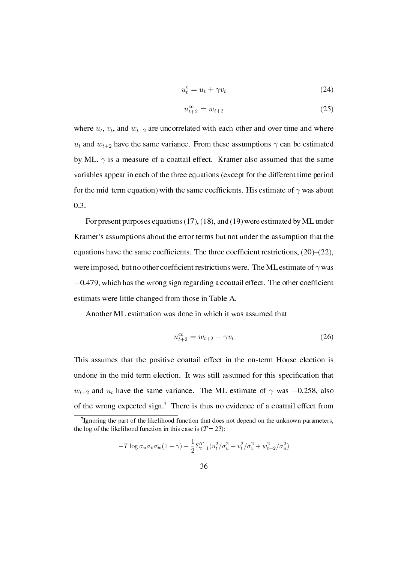$$
u_t^c = u_t + \gamma v_t \tag{24}
$$

$$
u_{t+2}^{cc} = w_{t+2} \tag{25}
$$

where  $u_t$ ,  $v_t$ , and  $w_{t+2}$  are uncorrelated with each other and over time and where *u*<sub>t</sub> and  $w_{t+2}$  have the same variance. From these assumptions  $\gamma$  can be estimated by ML.  $\gamma$  is a measure of a coattail effect. Kramer also assumed that the same variables appear in each of the three equations (except for the different time period for the mid-term equation) with the same coefficients. His estimate of  $\gamma$  was about 0.3.

For present purposes equations (17), (18), and (19) were estimated by ML under Kramer's assumptions about the error terms but not under the assumption that the equations have the same coefficients. The three coefficient restrictions,  $(20)$ – $(22)$ , were imposed, but no other coefficient restrictions were. The ML estimate of  $\gamma$  was −0.479, which has the wrong sign regarding a coattail effect. The other coefficient estimats were little changed from those in Table A.

Another ML estimation was done in which it was assumed that

$$
u_{t+2}^{cc} = w_{t+2} - \gamma v_t \tag{26}
$$

This assumes that the positive coattail effect in the on-term House election is undone in the mid-term election. It was still assumed for this specification that *w*<sub>t+2</sub> and  $u_t$  have the same variance. The ML estimate of  $\gamma$  was  $-0.258$ , also of the wrong expected sign.<sup>7</sup> There is thus no evidence of a coattail effect from

$$
-T \log \sigma_u \sigma_v \sigma_w (1 - \gamma) - \frac{1}{2} \Sigma_{t=1}^T (u_t^2 / \sigma_u^2 + v_t^2 / \sigma_v^2 + w_{t+2}^2 / \sigma_u^2)
$$

<sup>&</sup>lt;sup>7</sup> Ignoring the part of the likelihood function that does not depend on the unknown parameters, the log of the likelihood function in this case is  $(T = 23)$ :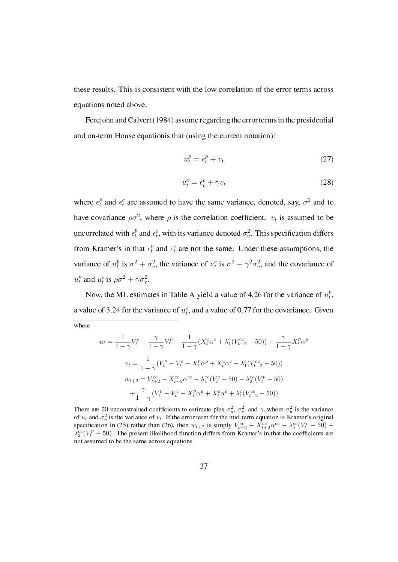these results. This is consistent with the low correlation of the error terms across equations noted above.

Ferejohn and Calvert (1984) assume regarding the error terms in the presidential and on-term House equationis that (using the current notation):

$$
u_t^p = \epsilon_t^p + v_t \tag{27}
$$

$$
u_t^c = \epsilon_t^c + \gamma v_t \tag{28}
$$

where  $\epsilon_t^p$  and  $\epsilon_t^c$  are assumed to have the same variance, denoted, say,  $\sigma^2$  and to have covariance  $\rho \sigma^2$ , where  $\rho$  is the correlation coefficient.  $v_t$  is assumed to be uncorrelated with  $\epsilon_t^p$  and  $\epsilon_t^c$ , with its variance denoted  $\sigma_v^2$ . This specification differs from Kramer's in that  $\epsilon_t^p$  and  $\epsilon_t^c$  are not the same. Under these assumptions, the variance of  $u_t^p$  $\sigma_t^p$  is  $\sigma^2 + \sigma_v^2$ , the variance of  $u_t^c$  is  $\sigma^2 + \gamma^2 \sigma_v^2$ , and the covariance of  $u_t^p$  and  $u_t^c$  is  $\rho \sigma^2 + \gamma \sigma_v^2$ .

Now, the ML estimates in Table A yield a value of 4.26 for the variance of  $u_t^p$ *t* , a value of 3.24 for the variance of  $u_t^c$ , and a value of 0.77 for the covariance. Given

where

$$
u_t = \frac{1}{1-\gamma} V_t^c - \frac{\gamma}{1-\gamma} V_t^p - \frac{1}{1-\gamma} (X_t^c \alpha^c + \lambda_1^c (V_{t-2}^{cc} - 50)) + \frac{\gamma}{1-\gamma} X_t^p \alpha^p
$$
  

$$
v_t = \frac{1}{1-\gamma} (V_t^p - V_t^c - X_t^p \alpha^p + X_t^c \alpha^c + \lambda_1^c (V_{t-2}^{cc} - 50))
$$
  

$$
w_{t+2} = V_{t+2}^{cc} - X_{t+2}^{cc} \alpha^{cc} - \lambda_1^{cc} (V_t^c - 50) - \lambda_2^{cc} (V_t^p - 50)
$$
  

$$
+ \frac{\gamma}{1-\gamma} (V_t^p - V_t^c - X_t^p \alpha^p + X_t^c \alpha^c + \lambda_1^c (V_{t-2}^{cc} - 50))
$$

There are 20 unconstrained coefficients to estimate plus  $\sigma_u^2$ ,  $\sigma_v^2$ , and  $\gamma$ , where  $\sigma_u^2$  is the variance of  $u_t$  and  $\sigma_v^2$  is the variance of  $v_t$ . If the error term for the mid-term equation is Kramer's original specification in (25) rather than (26), then  $w_{t+2}$  is simply  $V_{t+2}^{cc} - X_{t+2}^{cc} \alpha^{cc} - \lambda_1^{cc} (V_t^c - 50)$  $\lambda_2^{cc}$ (*V*<sup>*p*</sup>  $-$  50). The present likelihood function differs from Kramer's in that the coefficients are not assumed to be the same across equations.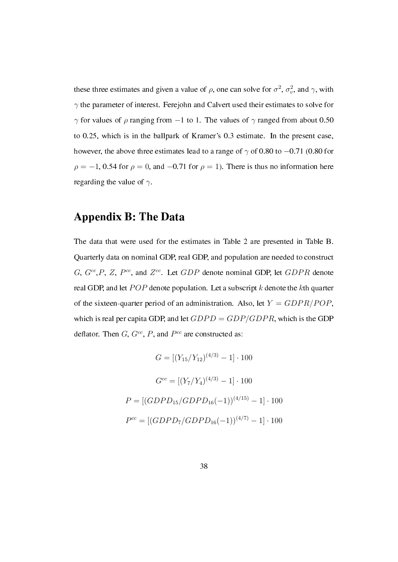these three estimates and given a value of  $\rho$ , one can solve for  $\sigma^2$ ,  $\sigma_v^2$ , and  $\gamma$ , with *γ* the parameter of interest. Ferejohn and Calvert used their estimates to solve for *γ* for values of *ρ* ranging from *−*1 to 1. The values of *γ* ranged from about 0.50 to 0.25, which is in the ballpark of Kramer's 0.3 estimate. In the present case, however, the above three estimates lead to a range of *γ* of 0.80 to *−*0.71 (0.80 for  $\rho = -1$ , 0.54 for  $\rho = 0$ , and  $-0.71$  for  $\rho = 1$ ). There is thus no information here regarding the value of *γ*.

## Appendix B: The Data

The data that were used for the estimates in Table 2 are presented in Table B. Quarterly data on nominal GDP, real GDP, and population are needed to construct *G*, *Gcc* ,*P*, *Z*, *P cc*, and *Z cc*. Let *GDP* denote nominal GDP, let *GDP R* denote real GDP, and let *P OP* denote population. Let a subscript *k* denote the *k*th quarter of the sixteen-quarter period of an administration. Also, let  $Y = GDPR/POP$ , which is real per capita GDP, and let *GDPD* = *GDP/GDP R*, which is the GDP deflator. Then  $G, G^{cc}, P$ , and  $P^{cc}$  are constructed as:

$$
G = [(Y_{15}/Y_{12})^{(4/3)} - 1] \cdot 100
$$

$$
G^{cc} = [(Y_7/Y_4)^{(4/3)} - 1] \cdot 100
$$

$$
P = [(GDPD_{15}/GDPD_{16}(-1))^{(4/15)} - 1] \cdot 100
$$

$$
P^{cc} = [(GDPD_7/GDPD_{16}(-1))^{(4/7)} - 1] \cdot 100
$$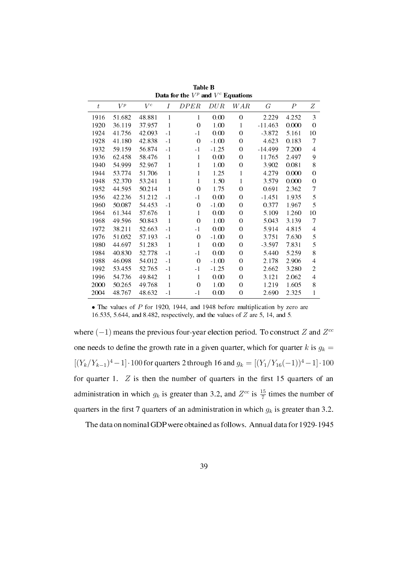| $t\,$ | $V^p$  | $V^c$   | Ι            | DPER     | DUR     | W A R          | $G\,$     | $\, P \,$ | Ζ        |
|-------|--------|---------|--------------|----------|---------|----------------|-----------|-----------|----------|
| 1916  | 51.682 | 48.881  | 1            | 1        | 0.00    | $\overline{0}$ | 2.229     | 4.252     | 3        |
| 1920  | 36.119 | 37.957  | 1            | $\theta$ | 1.00    | 1              | $-11.463$ | 0.000     | $\theta$ |
| 1924  | 41.756 | 42.093  | $-1$         | -1       | 0.00    | $\theta$       | $-3.872$  | 5.161     | 10       |
| 1928  | 41.180 | 42.838  | $-1$         | $\theta$ | $-1.00$ | $\theta$       | 4.623     | 0.183     | 7        |
| 1932  | 59.159 | 56.874  | $-1$         | - 1      | $-1.25$ | $\theta$       | $-14.499$ | 7.200     | 4        |
| 1936  | 62.458 | 58.476  | 1            | 1        | 0.00    | 0              | 11.765    | 2.497     | 9        |
| 1940  | 54.999 | 52.967  | 1            | 1        | 1.00    | 0              | 3.902     | 0.081     | 8        |
| 1944  | 53.774 | 51.706  | 1            | 1        | 1.25    | 1              | 4.279     | 0.000     | 0        |
| 1948  | 52.370 | 53.241  | 1            | 1        | 1.50    | 1              | 3.579     | 0.000     | 0        |
| 1952  | 44.595 | 50.214  | 1            | $\theta$ | 1.75    | $\theta$       | 0.691     | 2.362     | 7        |
| 1956  | 42.236 | 51.212  | $-1$         | $-1$     | 0.00    | $\theta$       | $-1.451$  | 1.935     | 5        |
| 1960  | 50.087 | 54 4 53 | $-1$         | $\theta$ | $-1.00$ | $\theta$       | 0.377     | 1.967     | 5        |
| 1964  | 61.344 | 57.676  | 1            | 1        | 0.00    | $\theta$       | 5.109     | 1.260     | 10       |
| 1968  | 49.596 | 50.843  | 1            | $\theta$ | 1.00    | $\theta$       | 5.043     | 3.139     | 7        |
| 1972  | 38.211 | 52.663  | $-1$         | - 1      | 0.00    | $\theta$       | 5.914     | 4.815     | 4        |
| 1976  | 51.052 | 57.193  | $-1$         | $\theta$ | $-1.00$ | $\theta$       | 3.751     | 7.630     | 5        |
| 1980  | 44.697 | 51.283  | $\mathbf{1}$ | 1        | 0.00    | $\theta$       | $-3.597$  | 7.831     | 5        |
| 1984  | 40.830 | 52.778  | $-1$         | - 1      | 0.00    | $\theta$       | 5.440     | 5.259     | 8        |
| 1988  | 46.098 | 54.012  | $-1$         | $\theta$ | $-1.00$ | $\theta$       | 2.178     | 2.906     | 4        |
| 1992  | 53.455 | 52.765  | $-1$         | $-1$     | $-1.25$ | $\theta$       | 2.662     | 3.280     | 2        |
| 1996  | 54.736 | 49.842  | 1            | 1        | 0.00    | $\theta$       | 3.121     | 2.062     | 4        |
| 2000  | 50.265 | 49.768  | 1            | $\theta$ | 1.00    | 0              | 1.219     | 1.605     | 8        |
| 2004  | 48.767 | 48.632  | $-1$         | - 1      | 0.00    | $\overline{0}$ | 2.690     | 2.325     | 1        |

Table B Data for the  $V^p$  and  $V^c$  Equations

• The values of *P* for 1920, 1944, and 1948 before multiplication by zero are 16.535, 5.644, and 8.482, respectively, and the values of *Z* are 5, 14, and 5.

where (*−*1) means the previous four-year election period. To construct *Z* and *Z cc* one needs to define the growth rate in a given quarter, which for quarter  $k$  is  $g_k =$  $[(Y_k/Y_{k-1})^4 - 1] \cdot 100$  for quarters 2 through 16 and  $g_k = [(Y_1/Y_{16}(-1))^4 - 1] \cdot 100$ for quarter 1.  $Z$  is then the number of quarters in the first 15 quarters of an administration in which  $g_k$  is greater than 3.2, and  $Z^{cc}$  is  $\frac{15}{7}$  times the number of quarters in the first 7 quarters of an administration in which  $g_k$  is greater than 3.2.

The data on nominal GDP were obtained as follows. Annual data for 1929-1945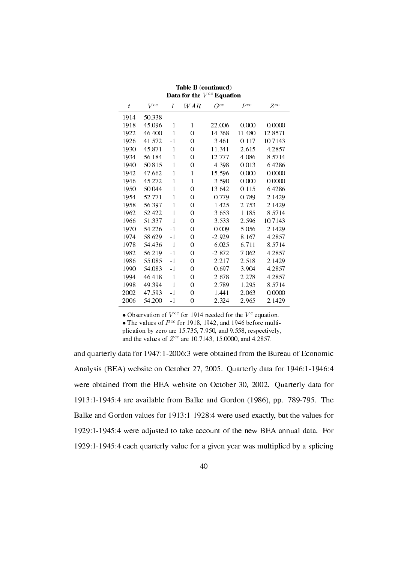| Data for the $V^{cc}$ Equation |          |              |                  |           |          |          |  |  |  |  |  |
|--------------------------------|----------|--------------|------------------|-----------|----------|----------|--|--|--|--|--|
| $\boldsymbol{t}$               | $V^{cc}$ | Ι            | WAR              | $G^{cc}$  | $P^{cc}$ | $Z^{cc}$ |  |  |  |  |  |
| 1914                           | 50.338   |              |                  |           |          |          |  |  |  |  |  |
| 1918                           | 45.096   | 1            | 1                | 22.006    | 0.000    | 0.0000   |  |  |  |  |  |
| 1922                           | 46.400   | $-1$         | $\boldsymbol{0}$ | 14.368    | 11.480   | 12.8571  |  |  |  |  |  |
| 1926                           | 41.572   | $-1$         | $\boldsymbol{0}$ | 3.461     | 0.117    | 10.7143  |  |  |  |  |  |
| 1930                           | 45.871   | $-1$         | 0                | $-11.341$ | 2.615    | 4.2857   |  |  |  |  |  |
| 1934                           | 56.184   | 1            | $\theta$         | 12.777    | 4.086    | 8.5714   |  |  |  |  |  |
| 1940                           | 50.815   | 1            | $\boldsymbol{0}$ | 4.398     | 0.013    | 6.4286   |  |  |  |  |  |
| 1942                           | 47.662   | 1            | 1                | 15.596    | 0.000    | 0.0000   |  |  |  |  |  |
| 1946                           | 45.272   | 1            | 1                | $-3.590$  | 0.000    | 0.0000   |  |  |  |  |  |
| 1950                           | 50.044   | 1            | $\boldsymbol{0}$ | 13.642    | 0.115    | 6.4286   |  |  |  |  |  |
| 1954                           | 52.771   | $-1$         | $\theta$         | $-0.779$  | 0.789    | 2.1429   |  |  |  |  |  |
| 1958                           | 56.397   | $-1$         | $\boldsymbol{0}$ | $-1.425$  | 2.753    | 2.1429   |  |  |  |  |  |
| 1962                           | 52.422   | $\mathbf{1}$ | $\boldsymbol{0}$ | 3.653     | 1.185    | 8.5714   |  |  |  |  |  |
| 1966                           | 51.337   | 1            | $\boldsymbol{0}$ | 3.533     | 2.596    | 10.7143  |  |  |  |  |  |
| 1970                           | 54.226   | $-1$         | 0                | 0.009     | 5.056    | 2.1429   |  |  |  |  |  |
| 1974                           | 58.629   | - 1          | 0                | $-2.929$  | 8.167    | 4.2857   |  |  |  |  |  |
| 1978                           | 54.436   | $\mathbf{1}$ | $\boldsymbol{0}$ | 6.025     | 6.711    | 8.5714   |  |  |  |  |  |
| 1982                           | 56.219   | $-1$         | $\boldsymbol{0}$ | $-2.872$  | 7.062    | 4.2857   |  |  |  |  |  |
| 1986                           | 55.085   | $-1$         | $\boldsymbol{0}$ | 2.217     | 2.518    | 2.1429   |  |  |  |  |  |
| 1990                           | 54.083   | - 1          | 0                | 0.697     | 3.904    | 4.2857   |  |  |  |  |  |
| 1994                           | 46.418   | 1            | 0                | 2.678     | 2.278    | 4.2857   |  |  |  |  |  |
| 1998                           | 49.394   | $\mathbf{1}$ | $\boldsymbol{0}$ | 2.789     | 1.295    | 8.5714   |  |  |  |  |  |
| 2002                           | 47.593   | $-1$         | $\overline{0}$   | 1.441     | 2.063    | 0.0000   |  |  |  |  |  |
| 2006                           | 54.200   | $-1$         | 0                | 2.324     | 2.965    | 2.1429   |  |  |  |  |  |

Table B (continued)

• Observation of  $V^{cc}$  for 1914 needed for the  $V^{c}$  equation.

• The values of  $P^{cc}$  for 1918, 1942, and 1946 before multiplication by zero are 15.735, 7.950, and 9.558, respectively,

and the values of *Z cc* are 10.7143, 15.0000, and 4.2857.

and quarterly data for 1947:1-2006:3 were obtained from the Bureau of Economic Analysis (BEA) website on October 27, 2005. Quarterly data for 1946:1-1946:4 were obtained from the BEA website on October 30, 2002. Quarterly data for 1913:1-1945:4 are available from Balke and Gordon (1986), pp. 789-795. The Balke and Gordon values for 1913:1-1928:4 were used exactly, but the values for 1929:1-1945:4 were adjusted to take account of the new BEA annual data. For 1929:1-1945:4 each quarterly value for a given year was multiplied by a splicing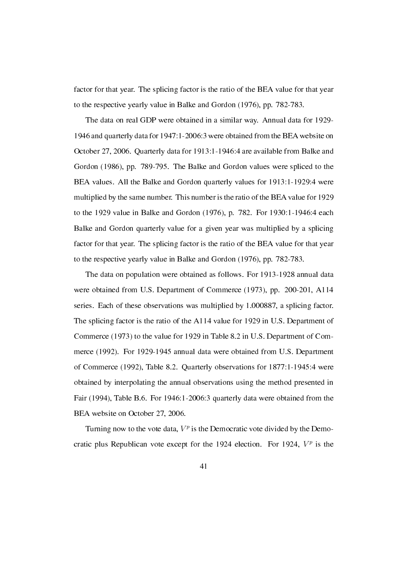factor for that year. The splicing factor is the ratio of the BEA value for that year to the respective yearly value in Balke and Gordon (1976), pp. 782-783.

The data on real GDP were obtained in a similar way. Annual data for 1929- 1946 and quarterly data for 1947:1-2006:3 were obtained from the BEA website on October 27, 2006. Quarterly data for 1913:1-1946:4 are available from Balke and Gordon (1986), pp. 789-795. The Balke and Gordon values were spliced to the BEA values. All the Balke and Gordon quarterly values for 1913:1-1929:4 were multiplied by the same number. This number is the ratio of the BEA value for 1929 to the 1929 value in Balke and Gordon (1976), p. 782. For 1930:1-1946:4 each Balke and Gordon quarterly value for a given year was multiplied by a splicing factor for that year. The splicing factor is the ratio of the BEA value for that year to the respective yearly value in Balke and Gordon (1976), pp. 782-783.

The data on population were obtained as follows. For 1913-1928 annual data were obtained from U.S. Department of Commerce (1973), pp. 200-201, A114 series. Each of these observations was multiplied by 1.000887, a splicing factor. The splicing factor is the ratio of the A114 value for 1929 in U.S. Department of Commerce (1973) to the value for 1929 in Table 8.2 in U.S. Department of Commerce (1992). For 1929-1945 annual data were obtained from U.S. Department of Commerce (1992), Table 8.2. Quarterly observations for 1877:1-1945:4 were obtained by interpolating the annual observations using the method presented in Fair (1994), Table B.6. For 1946:1-2006:3 quarterly data were obtained from the BEA website on October 27, 2006.

Turning now to the vote data,  $V^p$  is the Democratic vote divided by the Democratic plus Republican vote except for the 1924 election. For 1924,  $V^p$  is the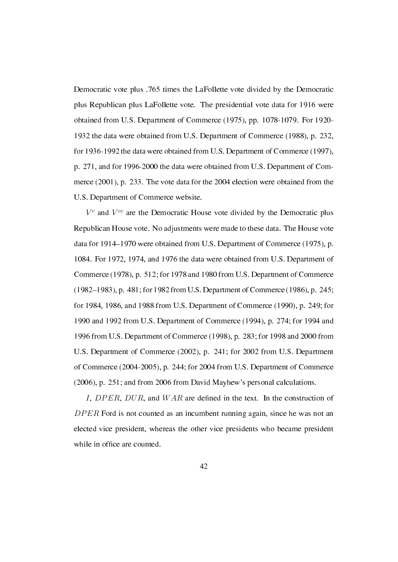Democratic vote plus .765 times the LaFollette vote divided by the Democratic plus Republican plus LaFollette vote. The presidential vote data for 1916 were obtained from U.S. Department of Commerce (1975), pp. 1078-1079. For 1920- 1932 the data were obtained from U.S. Department of Commerce (1988), p. 232, for 1936-1992 the data were obtained from U.S. Department of Commerce (1997), p. 271, and for 1996-2000 the data were obtained from U.S. Department of Commerce (2001), p. 233. The vote data for the 2004 election were obtained from the U.S. Department of Commerce website.

*V c* and *V cc* are the Democratic House vote divided by the Democratic plus Republican House vote. No adjustments were made to these data. The House vote data for 1914–1970 were obtained from U.S. Department of Commerce (1975), p. 1084. For 1972, 1974, and 1976 the data were obtained from U.S. Department of Commerce (1978), p. 512; for 1978 and 1980 from U.S. Department of Commerce (1982–1983), p. 481; for 1982 from U.S. Department of Commerce (1986), p. 245; for 1984, 1986, and 1988 from U.S. Department of Commerce (1990), p. 249; for 1990 and 1992 from U.S. Department of Commerce (1994), p. 274; for 1994 and 1996 from U.S. Department of Commerce (1998), p. 283; for 1998 and 2000 from U.S. Department of Commerce (2002), p. 241; for 2002 from U.S. Department of Commerce (2004-2005), p. 244; for 2004 from U.S. Department of Commerce (2006), p. 251; and from 2006 from David Mayhew's personal calculations.

*I*, *DPER*, *DUR*, and *WAR* are defined in the text. In the construction of *DP ER* Ford is not counted as an incumbent running again, since he was not an elected vice president, whereas the other vice presidents who became president while in office are counted.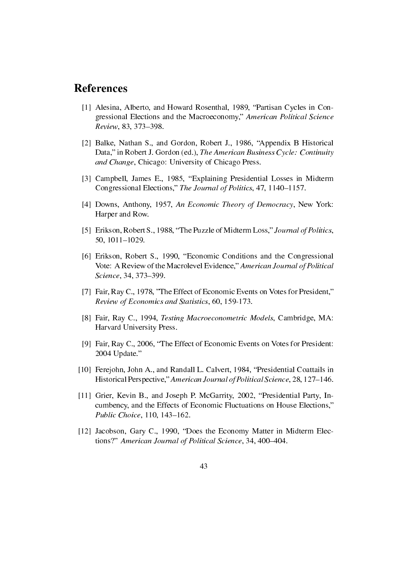#### References

- [1] Alesina, Alberto, and Howard Rosenthal, 1989, "Partisan Cycles in Congressional Elections and the Macroeconomy," American Political Science Review, 83, 373-398.
- [2] Balke, Nathan S., and Gordon, Robert J., 1986, "Appendix B Historical Data," in Robert J. Gordon (ed.), The American Business Cycle: Continuity and Change, Chicago: University of Chicago Press.
- [3] Campbell, James E., 1985, "Explaining Presidential Losses in Midterm Congressional Elections," The Journal of Politics, 47, 1140–1157.
- [4] Downs, Anthony, 1957, An Economic Theory of Democracy, New York: Harper and Row.
- [5] Erikson, Robert S., 1988, "The Puzzle of Midterm Loss," Journal of Politics, 50,  $1011 - 1029$ .
- [6] Erikson, Robert S., 1990, "Economic Conditions and the Congressional Vote: A Review of the Macrolevel Evidence," American Journal of Political Science, 34, 373-399.
- [7] Fair, Ray C., 1978, "The Effect of Economic Events on Votes for President," Review of Economics and Statistics, 60, 159-173.
- [8] Fair, Ray C., 1994, Testing Macroeconometric Models, Cambridge, MA: Harvard University Press.
- [9] Fair, Ray C., 2006, "The Effect of Economic Events on Votes for President: 2004 Update.
- [10] Ferejohn, John A., and Randall L. Calvert, 1984, "Presidential Coattails in Historical Perspective," American Journal of Political Science, 28, 127–146.
- [11] Grier, Kevin B., and Joseph P. McGarrity, 2002, "Presidential Party, Incumbency, and the Effects of Economic Fluctuations on House Elections, Public Choice, 110, 143-162.
- [12] Jacobson, Gary C., 1990, "Does the Economy Matter in Midterm Elections?" American Journal of Political Science, 34, 400–404.